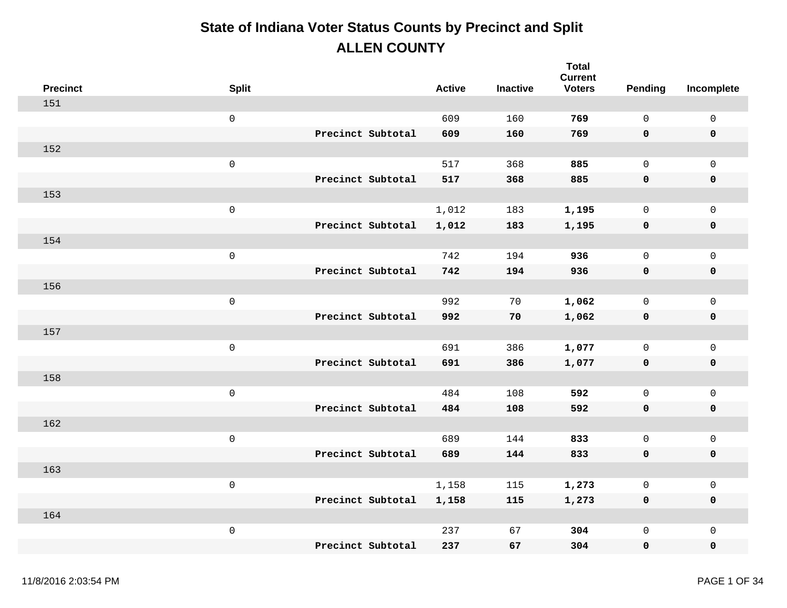| <b>Precinct</b> | <b>Split</b>        |                   | <b>Active</b> | <b>Inactive</b> | <b>Total</b><br><b>Current</b><br><b>Voters</b> | Pending      | Incomplete          |
|-----------------|---------------------|-------------------|---------------|-----------------|-------------------------------------------------|--------------|---------------------|
| 151             |                     |                   |               |                 |                                                 |              |                     |
|                 | $\mathsf{O}\xspace$ |                   | 609           | 160             | 769                                             | $\mathbf 0$  | $\mathsf{O}\xspace$ |
|                 |                     | Precinct Subtotal | 609           | 160             | 769                                             | 0            | $\pmb{0}$           |
| 152             |                     |                   |               |                 |                                                 |              |                     |
|                 | $\mathsf{O}\xspace$ |                   | 517           | 368             | 885                                             | $\mathsf{O}$ | $\mathbf 0$         |
|                 |                     | Precinct Subtotal | 517           | 368             | 885                                             | 0            | $\pmb{0}$           |
| 153             |                     |                   |               |                 |                                                 |              |                     |
|                 | $\mathbf 0$         |                   | 1,012         | 183             | 1,195                                           | $\mathbf 0$  | $\mathsf{O}$        |
|                 |                     | Precinct Subtotal | 1,012         | 183             | 1,195                                           | 0            | $\pmb{0}$           |
| 154             |                     |                   |               |                 |                                                 |              |                     |
|                 | $\mathsf{O}$        |                   | 742           | 194             | 936                                             | $\mathsf{O}$ | $\mathbf 0$         |
|                 |                     | Precinct Subtotal | 742           | 194             | 936                                             | 0            | $\pmb{0}$           |
| 156             |                     |                   |               |                 |                                                 |              |                     |
|                 | $\mathsf 0$         |                   | 992           | 70              | 1,062                                           | $\mathsf{O}$ | $\mathsf{O}$        |
|                 |                     | Precinct Subtotal | 992           | 70              | 1,062                                           | 0            | $\pmb{0}$           |
| 157             |                     |                   |               |                 |                                                 |              |                     |
|                 | $\mathsf{O}\xspace$ |                   | 691           | 386             | 1,077                                           | $\mathsf{O}$ | $\mathsf{O}$        |
|                 |                     | Precinct Subtotal | 691           | 386             | 1,077                                           | 0            | $\pmb{0}$           |
| 158             |                     |                   |               |                 |                                                 |              |                     |
|                 | $\mathsf{O}\xspace$ |                   | 484           | 108             | 592                                             | $\mathsf{O}$ | $\mathsf{O}\xspace$ |
|                 |                     | Precinct Subtotal | 484           | 108             | 592                                             | 0            | $\mathbf 0$         |
| 162             |                     |                   |               |                 |                                                 |              |                     |
|                 | $\mathsf{O}\xspace$ |                   | 689           | 144             | 833                                             | $\mathsf{O}$ | $\mathsf{O}\xspace$ |
|                 |                     | Precinct Subtotal | 689           | 144             | 833                                             | 0            | $\pmb{0}$           |
| 163             |                     |                   |               |                 |                                                 |              |                     |
|                 | $\mathsf{O}\xspace$ |                   | 1,158         | 115             | 1,273                                           | $\mathsf{O}$ | $\mathsf{O}\xspace$ |
|                 |                     | Precinct Subtotal | 1,158         | 115             | 1,273                                           | 0            | $\mathbf 0$         |
| 164             |                     |                   |               |                 |                                                 |              |                     |
|                 | $\,0\,$             |                   | 237           | 67              | 304                                             | 0            | $\mathsf{O}\xspace$ |
|                 |                     | Precinct Subtotal | 237           | 67              | 304                                             | 0            | $\mathbf 0$         |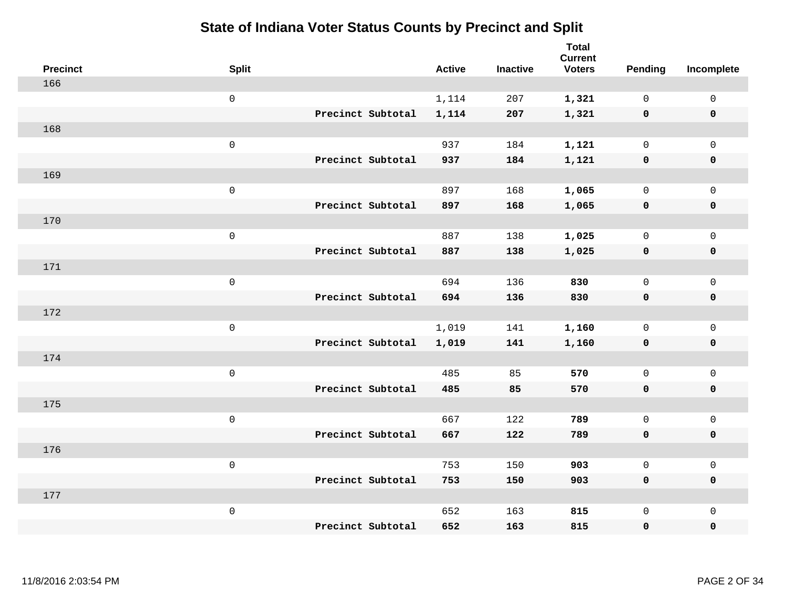| <b>Precinct</b> | <b>Split</b>        |                   | <b>Active</b> | <b>Inactive</b> | Total<br><b>Current</b><br><b>Voters</b> | Pending      | Incomplete          |
|-----------------|---------------------|-------------------|---------------|-----------------|------------------------------------------|--------------|---------------------|
| 166             |                     |                   |               |                 |                                          |              |                     |
|                 | $\mathsf{O}$        |                   | 1,114         | 207             | 1,321                                    | $\mathbf 0$  | $\mathsf{O}\xspace$ |
|                 |                     | Precinct Subtotal | 1,114         | 207             | 1,321                                    | $\mathbf 0$  | 0                   |
| 168             |                     |                   |               |                 |                                          |              |                     |
|                 | $\mathsf{O}\xspace$ |                   | 937           | 184             | 1,121                                    | $\mathsf{O}$ | $\mathsf{O}\xspace$ |
|                 |                     | Precinct Subtotal | 937           | 184             | 1,121                                    | $\mathbf 0$  | 0                   |
| 169             |                     |                   |               |                 |                                          |              |                     |
|                 | $\mathbf 0$         |                   | 897           | 168             | 1,065                                    | $\mathbf 0$  | $\mathsf{O}\xspace$ |
|                 |                     | Precinct Subtotal | 897           | 168             | 1,065                                    | $\mathbf 0$  | 0                   |
| 170             |                     |                   |               |                 |                                          |              |                     |
|                 | $\mathsf{O}\xspace$ |                   | 887           | 138             | 1,025                                    | $\mathbf 0$  | $\mathsf{O}$        |
|                 |                     | Precinct Subtotal | 887           | 138             | 1,025                                    | $\mathbf 0$  | 0                   |
| 171             |                     |                   |               |                 |                                          |              |                     |
|                 | $\mathbf 0$         |                   | 694           | 136             | 830                                      | $\mathbf 0$  | $\mathsf 0$         |
|                 |                     | Precinct Subtotal | 694           | 136             | 830                                      | 0            | 0                   |
| 172             |                     |                   |               |                 |                                          |              |                     |
|                 | $\mathsf{O}\xspace$ |                   | 1,019         | 141             | 1,160                                    | $\mathsf{O}$ | $\mathsf{O}$        |
|                 |                     | Precinct Subtotal | 1,019         | 141             | 1,160                                    | $\mathbf 0$  | 0                   |
| 174             |                     |                   |               |                 |                                          |              |                     |
|                 | $\mathbf 0$         |                   | 485           | 85              | 570                                      | $\mathsf{O}$ | $\mathsf{O}$        |
|                 |                     | Precinct Subtotal | 485           | 85              | 570                                      | 0            | 0                   |
| 175             |                     |                   |               |                 |                                          |              |                     |
|                 | $\mathsf{O}\xspace$ |                   | 667           | 122             | 789                                      | $\mathbf 0$  | $\mathsf{O}$        |
|                 |                     | Precinct Subtotal | 667           | 122             | 789                                      | 0            | 0                   |
| 176             |                     |                   |               |                 |                                          |              |                     |
|                 | $\mathbf 0$         |                   | 753           | 150             | 903                                      | $\mathsf{O}$ | $\mathsf{O}$        |
|                 |                     | Precinct Subtotal | 753           | 150             | 903                                      | 0            | 0                   |
| 177             |                     |                   |               |                 |                                          |              |                     |
|                 | $\mathbf 0$         |                   | 652           | 163             | 815                                      | $\mathsf{O}$ | $\mathsf{O}$        |
|                 |                     | Precinct Subtotal | 652           | 163             | 815                                      | 0            | 0                   |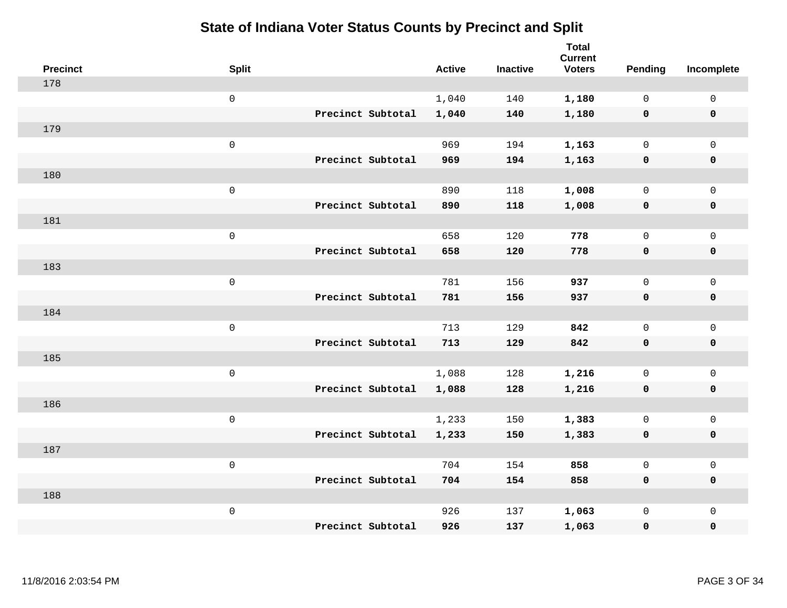| <b>Precinct</b> | <b>Split</b>        |                   | <b>Active</b> | <b>Inactive</b> | <b>Total</b><br><b>Current</b><br><b>Voters</b> | Pending      | Incomplete          |
|-----------------|---------------------|-------------------|---------------|-----------------|-------------------------------------------------|--------------|---------------------|
| 178             |                     |                   |               |                 |                                                 |              |                     |
|                 | $\mathsf{O}$        |                   | 1,040         | 140             | 1,180                                           | $\mathbf 0$  | $\mathsf{O}\xspace$ |
|                 |                     | Precinct Subtotal | 1,040         | 140             | 1,180                                           | $\mathbf 0$  | $\pmb{0}$           |
| 179             |                     |                   |               |                 |                                                 |              |                     |
|                 | $\mathsf{O}\xspace$ |                   | 969           | 194             | 1,163                                           | $\mathbf 0$  | $\mathsf{O}\xspace$ |
|                 |                     | Precinct Subtotal | 969           | 194             | 1,163                                           | $\mathbf 0$  | $\pmb{0}$           |
| 180             |                     |                   |               |                 |                                                 |              |                     |
|                 | $\mathbf 0$         |                   | 890           | 118             | 1,008                                           | $\mathsf{O}$ | $\mathsf{O}\xspace$ |
|                 |                     | Precinct Subtotal | 890           | 118             | 1,008                                           | $\mathbf 0$  | 0                   |
| 181             |                     |                   |               |                 |                                                 |              |                     |
|                 | $\mathsf{O}\xspace$ |                   | 658           | 120             | 778                                             | $\mathsf{O}$ | $\mathsf{O}\xspace$ |
|                 |                     | Precinct Subtotal | 658           | 120             | 778                                             | $\mathbf 0$  | 0                   |
| 183             |                     |                   |               |                 |                                                 |              |                     |
|                 | $\mathbf 0$         |                   | 781           | 156             | 937                                             | $\mathbf 0$  | $\mathsf{O}\xspace$ |
|                 |                     | Precinct Subtotal | 781           | 156             | 937                                             | $\mathbf 0$  | 0                   |
| 184             |                     |                   |               |                 |                                                 |              |                     |
|                 | $\mathsf{O}\xspace$ |                   | 713           | 129             | 842                                             | $\mathsf{O}$ | $\mathsf{O}\xspace$ |
|                 |                     | Precinct Subtotal | 713           | 129             | 842                                             | $\mathbf 0$  | 0                   |
| 185             |                     |                   |               |                 |                                                 |              |                     |
|                 | $\mathbf 0$         |                   | 1,088         | 128             | 1,216                                           | $\mathbf 0$  | $\mathsf{O}$        |
|                 |                     | Precinct Subtotal | 1,088         | 128             | 1,216                                           | $\mathbf 0$  | 0                   |
| 186             |                     |                   |               |                 |                                                 |              |                     |
|                 | $\mathsf{O}\xspace$ |                   | 1,233         | 150             | 1,383                                           | $\mathsf{O}$ | $\mathsf{O}\xspace$ |
|                 |                     | Precinct Subtotal | 1,233         | 150             | 1,383                                           | 0            | 0                   |
| 187             |                     |                   |               |                 |                                                 |              |                     |
|                 | $\mathsf 0$         |                   | 704           | 154             | 858                                             | $\mathsf{O}$ | $\mathsf 0$         |
|                 |                     | Precinct Subtotal | 704           | 154             | 858                                             | 0            | 0                   |
| 188             |                     |                   |               |                 |                                                 |              |                     |
|                 | $\mathbf 0$         |                   | 926           | 137             | 1,063                                           | $\mathsf{O}$ | $\mathsf{O}$        |
|                 |                     | Precinct Subtotal | 926           | 137             | 1,063                                           | 0            | 0                   |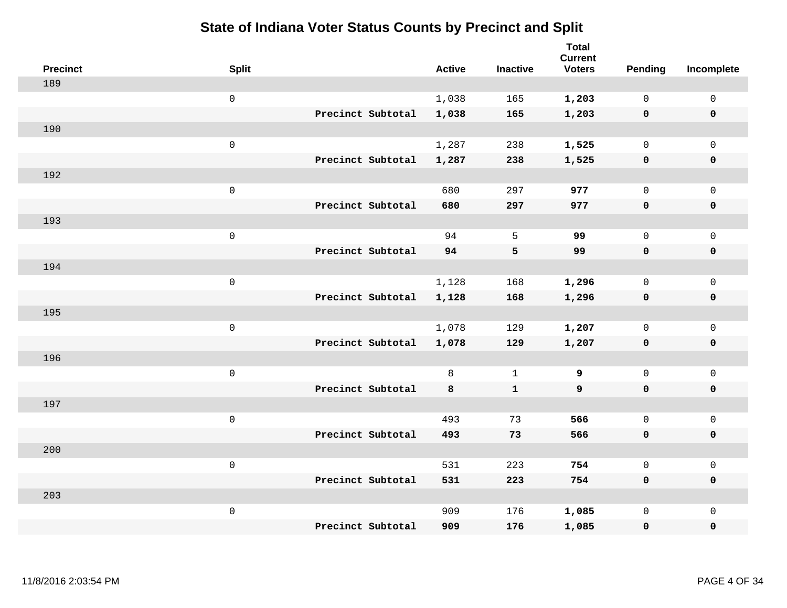| <b>Precinct</b> | <b>Split</b>        |                   | <b>Active</b> | <b>Inactive</b> | <b>Total</b><br><b>Current</b><br><b>Voters</b> | <b>Pending</b> | Incomplete          |
|-----------------|---------------------|-------------------|---------------|-----------------|-------------------------------------------------|----------------|---------------------|
| 189             |                     |                   |               |                 |                                                 |                |                     |
|                 | $\mathsf{O}$        |                   | 1,038         | 165             | 1,203                                           | $\mathbf{0}$   | $\mathsf{O}$        |
|                 |                     | Precinct Subtotal | 1,038         | 165             | 1,203                                           | $\mathbf 0$    | $\mathbf 0$         |
| 190             |                     |                   |               |                 |                                                 |                |                     |
|                 | $\mathsf{O}\xspace$ |                   | 1,287         | 238             | 1,525                                           | $\mathbf{0}$   | $\mathbf 0$         |
|                 |                     | Precinct Subtotal | 1,287         | 238             | 1,525                                           | 0              | $\mathbf 0$         |
| 192             |                     |                   |               |                 |                                                 |                |                     |
|                 | $\mathsf 0$         |                   | 680           | 297             | 977                                             | 0              | $\mathsf{O}$        |
|                 |                     | Precinct Subtotal | 680           | 297             | 977                                             | 0              | 0                   |
| 193             |                     |                   |               |                 |                                                 |                |                     |
|                 | $\mathsf 0$         |                   | 94            | 5               | 99                                              | 0              | $\mathsf{O}$        |
|                 |                     | Precinct Subtotal | 94            | 5               | 99                                              | 0              | $\mathbf 0$         |
| 194             |                     |                   |               |                 |                                                 |                |                     |
|                 | $\mathsf 0$         |                   | 1,128         | 168             | 1,296                                           | $\mathsf{O}$   | $\mathbf 0$         |
|                 |                     | Precinct Subtotal | 1,128         | 168             | 1,296                                           | 0              | $\mathbf 0$         |
| 195             |                     |                   |               |                 |                                                 |                |                     |
|                 | $\mathsf{O}\xspace$ |                   | 1,078         | 129             | 1,207                                           | 0              | $\mathbf 0$         |
|                 |                     | Precinct Subtotal | 1,078         | 129             | 1,207                                           | 0              | $\mathbf 0$         |
| 196             |                     |                   |               |                 |                                                 |                |                     |
|                 | $\mathsf{O}\xspace$ |                   | 8             | $\mathbf{1}$    | 9                                               | $\mathsf{O}$   | $\mathsf{O}\xspace$ |
|                 |                     | Precinct Subtotal | 8             | $\mathbf{1}$    | 9                                               | 0              | $\mathbf 0$         |
| 197             |                     |                   |               |                 |                                                 |                |                     |
|                 | $\mathsf{O}\xspace$ |                   | 493           | 73              | 566                                             | $\mathbf{0}$   | $\mathbf 0$         |
|                 |                     | Precinct Subtotal | 493           | 73              | 566                                             | 0              | $\pmb{0}$           |
| 200             |                     |                   |               |                 |                                                 |                |                     |
|                 | $\mathsf 0$         |                   | 531           | 223             | 754                                             | 0              | $\mathsf{O}$        |
|                 |                     | Precinct Subtotal | 531           | 223             | 754                                             | 0              | $\mathbf 0$         |
| 203             |                     |                   |               |                 |                                                 |                |                     |
|                 | $\mathbf 0$         |                   | 909           | 176             | 1,085                                           | 0              | $\mathsf{O}$        |
|                 |                     | Precinct Subtotal | 909           | 176             | 1,085                                           | 0              | $\mathbf 0$         |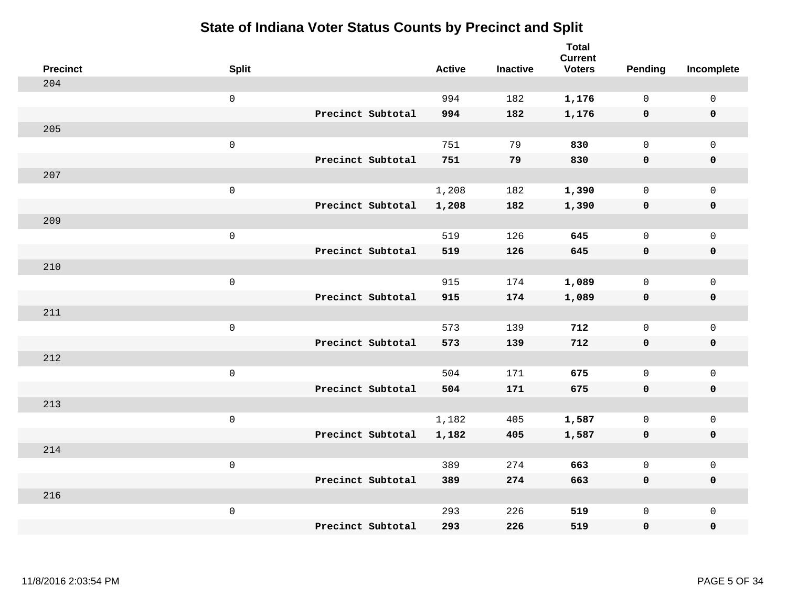| <b>Precinct</b> | <b>Split</b>        |                   | <b>Active</b> | <b>Inactive</b> | <b>Total</b><br><b>Current</b><br><b>Voters</b> | Pending      | Incomplete          |
|-----------------|---------------------|-------------------|---------------|-----------------|-------------------------------------------------|--------------|---------------------|
| 204             |                     |                   |               |                 |                                                 |              |                     |
|                 | $\mathsf{O}\xspace$ |                   | 994           | 182             | 1,176                                           | $\mathbf 0$  | $\mathsf{O}\xspace$ |
|                 |                     | Precinct Subtotal | 994           | 182             | 1,176                                           | $\mathbf 0$  | $\pmb{0}$           |
| 205             |                     |                   |               |                 |                                                 |              |                     |
|                 | $\mathsf{O}\xspace$ |                   | 751           | 79              | 830                                             | $\mathbf 0$  | $\mathbf{0}$        |
|                 |                     | Precinct Subtotal | 751           | 79              | 830                                             | $\mathbf 0$  | $\pmb{0}$           |
| 207             |                     |                   |               |                 |                                                 |              |                     |
|                 | $\mathsf{O}\xspace$ |                   | 1,208         | 182             | 1,390                                           | 0            | $\mathsf{O}\xspace$ |
|                 |                     | Precinct Subtotal | 1,208         | 182             | 1,390                                           | 0            | 0                   |
| 209             |                     |                   |               |                 |                                                 |              |                     |
|                 | $\mathsf{O}\xspace$ |                   | 519           | 126             | 645                                             | $\mathbf 0$  | $\mathsf{O}$        |
|                 |                     | Precinct Subtotal | 519           | 126             | 645                                             | $\mathbf 0$  | 0                   |
| 210             |                     |                   |               |                 |                                                 |              |                     |
|                 | $\mathsf{O}\xspace$ |                   | 915           | 174             | 1,089                                           | $\mathbf 0$  | $\mathsf{O}\xspace$ |
|                 |                     | Precinct Subtotal | 915           | 174             | 1,089                                           | 0            | 0                   |
| 211             |                     |                   |               |                 |                                                 |              |                     |
|                 | $\mathsf{O}\xspace$ |                   | 573           | 139             | 712                                             | $\mathbf 0$  | $\mathsf{O}\xspace$ |
|                 |                     | Precinct Subtotal | 573           | 139             | 712                                             | $\mathbf 0$  | 0                   |
| 212             |                     |                   |               |                 |                                                 |              |                     |
|                 | $\mathsf{O}\xspace$ |                   | 504           | 171             | 675                                             | $\mathbf 0$  | $\mathsf{O}$        |
|                 |                     | Precinct Subtotal | 504           | 171             | 675                                             | 0            | 0                   |
| 213             |                     |                   |               |                 |                                                 |              |                     |
|                 | $\mathsf 0$         |                   | 1,182         | 405             | 1,587                                           | 0            | $\mathsf{O}$        |
|                 |                     | Precinct Subtotal | 1,182         | 405             | 1,587                                           | 0            | 0                   |
| 214             |                     |                   |               |                 |                                                 |              |                     |
|                 | $\mathsf 0$         |                   | 389           | 274             | 663                                             | $\mathsf{O}$ | $\mathsf{O}$        |
|                 |                     | Precinct Subtotal | 389           | 274             | 663                                             | 0            | 0                   |
| 216             |                     |                   |               |                 |                                                 |              |                     |
|                 | $\mathsf 0$         |                   | 293           | 226             | 519                                             | $\mathsf{O}$ | $\mathsf{O}$        |
|                 |                     | Precinct Subtotal | 293           | 226             | 519                                             | 0            | 0                   |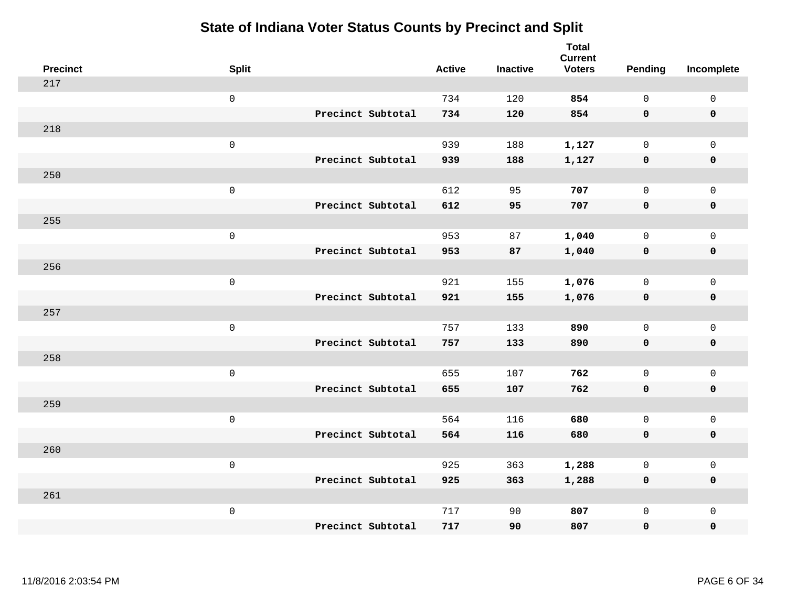| <b>Precinct</b> | <b>Split</b>        |                   | <b>Active</b> | <b>Inactive</b> | <b>Total</b><br><b>Current</b><br><b>Voters</b> | <b>Pending</b> | Incomplete          |
|-----------------|---------------------|-------------------|---------------|-----------------|-------------------------------------------------|----------------|---------------------|
| 217             |                     |                   |               |                 |                                                 |                |                     |
|                 | $\mathsf{O}\xspace$ |                   | 734           | 120             | 854                                             | $\mathbf 0$    | $\mathsf{O}\xspace$ |
|                 |                     | Precinct Subtotal | 734           | 120             | 854                                             | $\mathbf 0$    | $\mathbf 0$         |
| 218             |                     |                   |               |                 |                                                 |                |                     |
|                 | $\mathsf{O}\xspace$ |                   | 939           | 188             | 1,127                                           | $\mathbf 0$    | $\mathsf{O}$        |
|                 |                     | Precinct Subtotal | 939           | 188             | 1,127                                           | $\mathbf 0$    | 0                   |
| 250             |                     |                   |               |                 |                                                 |                |                     |
|                 | $\mathsf 0$         |                   | 612           | 95              | 707                                             | $\mathbf 0$    | $\mathsf{O}\xspace$ |
|                 |                     | Precinct Subtotal | 612           | 95              | 707                                             | $\mathbf 0$    | $\pmb{0}$           |
| 255             |                     |                   |               |                 |                                                 |                |                     |
|                 | $\mathsf{O}\xspace$ |                   | 953           | 87              | 1,040                                           | $\mathbf 0$    | $\mathsf{O}$        |
|                 |                     | Precinct Subtotal | 953           | 87              | 1,040                                           | $\mathbf 0$    | 0                   |
| 256             |                     |                   |               |                 |                                                 |                |                     |
|                 | $\mathsf{O}\xspace$ |                   | 921           | 155             | 1,076                                           | $\mathbf 0$    | $\mathsf{O}\xspace$ |
|                 |                     | Precinct Subtotal | 921           | 155             | 1,076                                           | 0              | 0                   |
| 257             |                     |                   |               |                 |                                                 |                |                     |
|                 | $\mathsf 0$         |                   | 757           | 133             | 890                                             | $\mathbf 0$    | $\mathsf{O}$        |
|                 |                     | Precinct Subtotal | 757           | 133             | 890                                             | 0              | 0                   |
| 258             |                     |                   |               |                 |                                                 |                |                     |
|                 | $\mathsf 0$         |                   | 655           | 107             | 762                                             | $\mathsf{O}$   | $\mathsf{O}$        |
|                 |                     | Precinct Subtotal | 655           | 107             | 762                                             | $\mathbf 0$    | 0                   |
| 259             |                     |                   |               |                 |                                                 |                |                     |
|                 | $\mathsf{O}\xspace$ |                   | 564           | 116             | 680                                             | $\mathsf{O}$   | $\mathsf{O}$        |
|                 |                     | Precinct Subtotal | 564           | 116             | 680                                             | $\mathbf 0$    | 0                   |
| 260             |                     |                   |               |                 |                                                 |                |                     |
|                 | $\mathsf 0$         |                   | 925           | 363             | 1,288                                           | $\mathbf 0$    | $\mathsf{O}$        |
|                 |                     | Precinct Subtotal | 925           | 363             | 1,288                                           | 0              | 0                   |
| 261             |                     |                   |               |                 |                                                 |                |                     |
|                 | $\mathsf 0$         |                   | 717           | 90              | 807                                             | $\mathsf{O}$   | $\mathsf{O}$        |
|                 |                     | Precinct Subtotal | 717           | 90              | 807                                             | 0              | 0                   |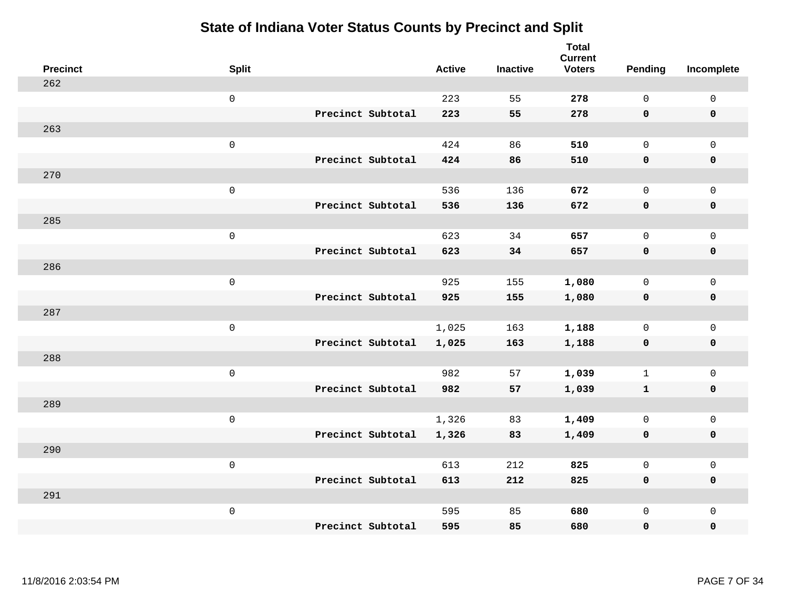| <b>Precinct</b> | <b>Split</b>        |                   | <b>Active</b> | <b>Inactive</b> | <b>Total</b><br><b>Current</b><br><b>Voters</b> | Pending      | Incomplete          |
|-----------------|---------------------|-------------------|---------------|-----------------|-------------------------------------------------|--------------|---------------------|
| 262             |                     |                   |               |                 |                                                 |              |                     |
|                 | $\mathsf 0$         |                   | 223           | 55              | 278                                             | $\mathsf{O}$ | $\mathsf{O}\xspace$ |
|                 |                     | Precinct Subtotal | 223           | 55              | 278                                             | $\mathbf 0$  | 0                   |
| 263             |                     |                   |               |                 |                                                 |              |                     |
|                 | $\mathsf 0$         |                   | 424           | 86              | 510                                             | $\mathsf{O}$ | $\mathsf{O}$        |
|                 |                     | Precinct Subtotal | 424           | 86              | 510                                             | $\mathbf 0$  | 0                   |
| 270             |                     |                   |               |                 |                                                 |              |                     |
|                 | $\mathsf 0$         |                   | 536           | 136             | 672                                             | $\mathbf 0$  | $\mathsf{O}\xspace$ |
|                 |                     | Precinct Subtotal | 536           | 136             | 672                                             | 0            | $\pmb{0}$           |
| 285             |                     |                   |               |                 |                                                 |              |                     |
|                 | $\mathsf 0$         |                   | 623           | 34              | 657                                             | $\mathsf{O}$ | $\mathsf{O}$        |
|                 |                     | Precinct Subtotal | 623           | 34              | 657                                             | $\mathbf 0$  | 0                   |
| 286             |                     |                   |               |                 |                                                 |              |                     |
|                 | $\mathsf 0$         |                   | 925           | 155             | 1,080                                           | $\mathbf{0}$ | $\mathsf{O}$        |
|                 |                     | Precinct Subtotal | 925           | 155             | 1,080                                           | $\mathbf 0$  | $\pmb{0}$           |
| 287             |                     |                   |               |                 |                                                 |              |                     |
|                 | $\mathsf{O}\xspace$ |                   | 1,025         | 163             | 1,188                                           | $\mathbf{0}$ | $\mathsf{O}$        |
|                 |                     | Precinct Subtotal | 1,025         | 163             | 1,188                                           | $\mathbf 0$  | $\pmb{0}$           |
| 288             |                     |                   |               |                 |                                                 |              |                     |
|                 | $\mathsf 0$         |                   | 982           | 57              | 1,039                                           | $\mathbf{1}$ | $\mathsf 0$         |
|                 |                     | Precinct Subtotal | 982           | 57              | 1,039                                           | $\mathbf{1}$ | 0                   |
| 289             |                     |                   |               |                 |                                                 |              |                     |
|                 | $\mathsf 0$         |                   | 1,326         | 83              | 1,409                                           | $\mathbf 0$  | $\mathsf{O}\xspace$ |
|                 |                     | Precinct Subtotal | 1,326         | 83              | 1,409                                           | 0            | 0                   |
| 290             |                     |                   |               |                 |                                                 |              |                     |
|                 | $\mathsf 0$         |                   | 613           | 212             | 825                                             | $\mathbf 0$  | $\mathsf 0$         |
|                 |                     | Precinct Subtotal | 613           | 212             | 825                                             | 0            | 0                   |
| 291             | $\mathsf 0$         |                   |               |                 |                                                 |              |                     |
|                 |                     | Precinct Subtotal | 595           | 85<br>85        | 680<br>680                                      | $\mathsf{O}$ | $\mathsf{O}$        |
|                 |                     |                   | 595           |                 |                                                 | 0            | 0                   |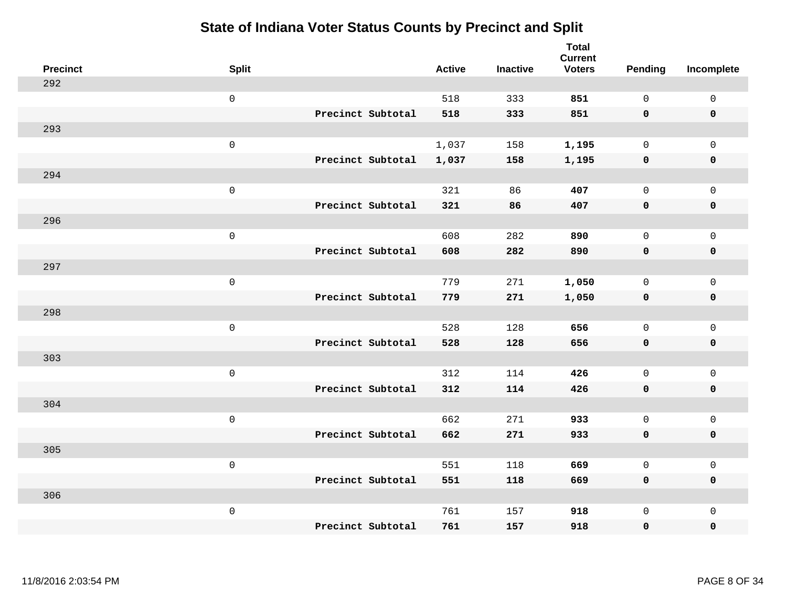| <b>Precinct</b> | <b>Split</b>        |                   | <b>Active</b> | <b>Inactive</b> | <b>Total</b><br><b>Current</b><br><b>Voters</b> | <b>Pending</b> | Incomplete          |
|-----------------|---------------------|-------------------|---------------|-----------------|-------------------------------------------------|----------------|---------------------|
| 292             |                     |                   |               |                 |                                                 |                |                     |
|                 | $\mathsf 0$         |                   | 518           | 333             | 851                                             | $\mathsf{O}$   | $\mathsf 0$         |
|                 |                     | Precinct Subtotal | 518           | 333             | 851                                             | $\mathbf 0$    | $\mathbf 0$         |
| 293             |                     |                   |               |                 |                                                 |                |                     |
|                 | $\mathsf{O}\xspace$ |                   | 1,037         | 158             | 1,195                                           | $\mathbf 0$    | $\mathsf{O}$        |
|                 |                     | Precinct Subtotal | 1,037         | 158             | 1,195                                           | $\mathbf 0$    | 0                   |
| 294             |                     |                   |               |                 |                                                 |                |                     |
|                 | $\mathsf 0$         |                   | 321           | 86              | 407                                             | $\mathbf{0}$   | $\mathsf{O}\xspace$ |
|                 |                     | Precinct Subtotal | 321           | 86              | 407                                             | $\mathbf 0$    | $\pmb{0}$           |
| 296             |                     |                   |               |                 |                                                 |                |                     |
|                 | $\mathsf 0$         |                   | 608           | 282             | 890                                             | $\mathbf 0$    | $\mathsf{O}$        |
|                 |                     | Precinct Subtotal | 608           | 282             | 890                                             | 0              | 0                   |
| 297             |                     |                   |               |                 |                                                 |                |                     |
|                 | $\mathsf{O}\xspace$ |                   | 779           | 271             | 1,050                                           | $\mathbf 0$    | $\mathsf{O}\xspace$ |
|                 |                     | Precinct Subtotal | 779           | 271             | 1,050                                           | 0              | 0                   |
| 298             |                     |                   |               |                 |                                                 |                |                     |
|                 | $\mathsf 0$         |                   | 528           | 128             | 656                                             | $\mathbf 0$    | $\mathsf{O}$        |
|                 |                     | Precinct Subtotal | 528           | 128             | 656                                             | 0              | 0                   |
| 303             |                     |                   |               |                 |                                                 |                |                     |
|                 | $\mathsf 0$         |                   | 312           | 114             | 426                                             | $\mathsf{O}$   | $\mathsf{O}$        |
|                 |                     | Precinct Subtotal | 312           | 114             | 426                                             | $\mathbf 0$    | 0                   |
| 304             |                     |                   |               |                 |                                                 |                |                     |
|                 | $\mathsf{O}\xspace$ |                   | 662           | 271             | 933                                             | $\mathsf{O}$   | $\mathsf{O}$        |
|                 |                     | Precinct Subtotal | 662           | 271             | 933                                             | 0              | 0                   |
| 305             |                     |                   |               |                 |                                                 |                |                     |
|                 | $\mathsf 0$         |                   | 551           | 118             | 669                                             | $\mathbf 0$    | $\mathsf{O}$        |
|                 |                     | Precinct Subtotal | 551           | 118             | 669                                             | 0              | 0                   |
| 306             |                     |                   |               |                 |                                                 |                |                     |
|                 | $\mathsf 0$         |                   | 761           | 157             | 918                                             | $\mathsf{O}$   | $\mathsf{O}$        |
|                 |                     | Precinct Subtotal | 761           | 157             | 918                                             | 0              | 0                   |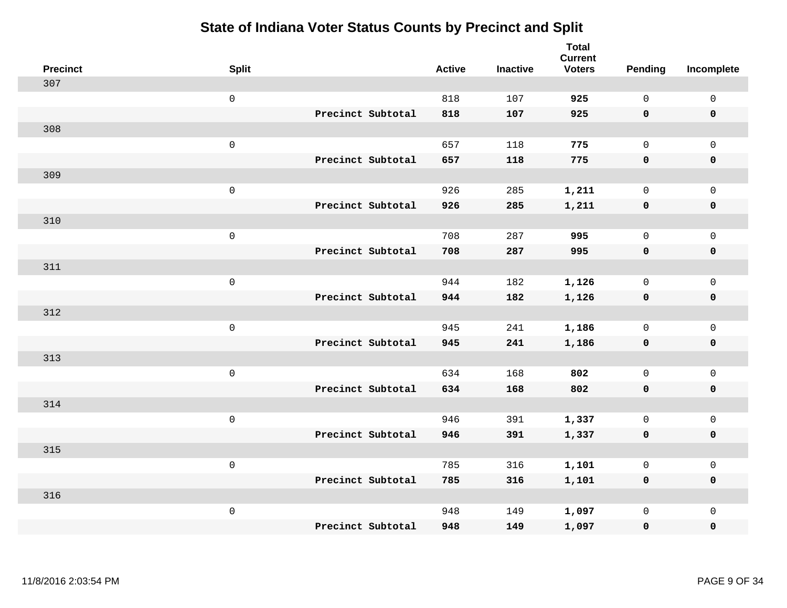| <b>Precinct</b> | <b>Split</b>        |                   | <b>Active</b> | <b>Inactive</b> | <b>Total</b><br><b>Current</b><br><b>Voters</b> | <b>Pending</b> | Incomplete  |
|-----------------|---------------------|-------------------|---------------|-----------------|-------------------------------------------------|----------------|-------------|
| 307             |                     |                   |               |                 |                                                 |                |             |
|                 | $\mathsf{O}\xspace$ |                   | 818           | 107             | 925                                             | $\mathbf 0$    | $\mathsf 0$ |
|                 |                     | Precinct Subtotal | 818           | 107             | 925                                             | $\mathbf 0$    | $\mathbf 0$ |
| 308             |                     |                   |               |                 |                                                 |                |             |
|                 | $\mathsf 0$         |                   | 657           | 118             | 775                                             | $\mathsf{O}$   | $\mathbf 0$ |
|                 |                     | Precinct Subtotal | 657           | 118             | 775                                             | $\mathbf 0$    | $\mathbf 0$ |
| 309             |                     |                   |               |                 |                                                 |                |             |
|                 | $\mathsf 0$         |                   | 926           | 285             | 1,211                                           | $\mathbf 0$    | $\mathsf 0$ |
|                 |                     | Precinct Subtotal | 926           | 285             | 1,211                                           | $\mathbf 0$    | $\mathbf 0$ |
| 310             |                     |                   |               |                 |                                                 |                |             |
|                 | $\mathbf 0$         |                   | 708           | 287             | 995                                             | $\mathbf 0$    | $\mathsf 0$ |
|                 |                     | Precinct Subtotal | 708           | 287             | 995                                             | $\mathbf 0$    | $\mathbf 0$ |
| 311             |                     |                   |               |                 |                                                 |                |             |
|                 | $\mathsf 0$         |                   | 944           | 182             | 1,126                                           | $\mathbf 0$    | $\mathsf 0$ |
|                 |                     | Precinct Subtotal | 944           | 182             | 1,126                                           | 0              | $\mathbf 0$ |
| 312             |                     |                   |               |                 |                                                 |                |             |
|                 | $\mathbf 0$         |                   | 945           | 241             | 1,186                                           | $\mathsf{O}$   | $\mathsf 0$ |
|                 |                     | Precinct Subtotal | 945           | 241             | 1,186                                           | $\mathbf 0$    | $\mathbf 0$ |
| 313             |                     |                   |               |                 |                                                 |                |             |
|                 | $\mathbf 0$         |                   | 634           | 168             | 802                                             | $\mathbf 0$    | $\mathsf 0$ |
|                 |                     | Precinct Subtotal | 634           | 168             | 802                                             | 0              | $\mathbf 0$ |
| 314             |                     |                   |               |                 |                                                 |                |             |
|                 | $\mathbf 0$         |                   | 946           | 391             | 1,337                                           | $\mathbf 0$    | $\mathsf 0$ |
|                 |                     | Precinct Subtotal | 946           | 391             | 1,337                                           | $\mathbf 0$    | $\mathbf 0$ |
| 315             |                     |                   |               |                 |                                                 |                |             |
|                 | $\mathsf 0$         |                   | 785           | 316             | 1,101                                           | 0              | $\mathsf 0$ |
|                 |                     | Precinct Subtotal | 785           | 316             | 1,101                                           | $\mathbf 0$    | $\mathbf 0$ |
| 316             |                     |                   |               |                 |                                                 |                |             |
|                 | $\mathbf 0$         |                   | 948           | 149             | 1,097                                           | $\mathsf{O}$   | $\mathbf 0$ |
|                 |                     | Precinct Subtotal | 948           | 149             | 1,097                                           | 0              | $\pmb{0}$   |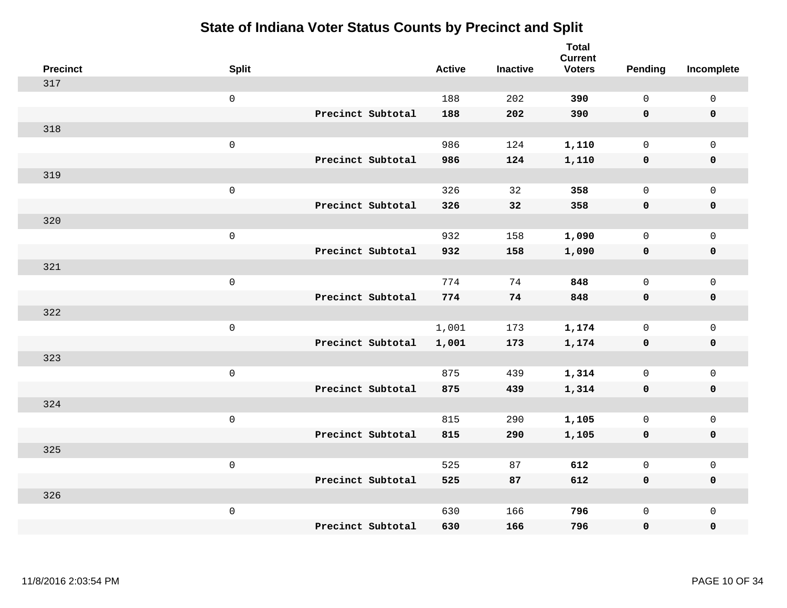| <b>Precinct</b> | <b>Split</b>        |                   | <b>Active</b> | <b>Inactive</b> | <b>Total</b><br><b>Current</b><br><b>Voters</b> | <b>Pending</b> | Incomplete          |
|-----------------|---------------------|-------------------|---------------|-----------------|-------------------------------------------------|----------------|---------------------|
| 317             |                     |                   |               |                 |                                                 |                |                     |
|                 | $\mathsf 0$         |                   | 188           | 202             | 390                                             | $\mathbf{0}$   | $\mathsf 0$         |
|                 |                     | Precinct Subtotal | 188           | 202             | 390                                             | $\mathbf 0$    | $\mathbf 0$         |
| 318             |                     |                   |               |                 |                                                 |                |                     |
|                 | $\mathsf 0$         |                   | 986           | 124             | 1,110                                           | 0              | $\mathsf{O}$        |
|                 |                     | Precinct Subtotal | 986           | 124             | 1,110                                           | $\mathbf 0$    | $\pmb{0}$           |
| 319             |                     |                   |               |                 |                                                 |                |                     |
|                 | $\mathsf 0$         |                   | 326           | 32              | 358                                             | $\mathbf{0}$   | $\mathbf 0$         |
|                 |                     | Precinct Subtotal | 326           | 32              | 358                                             | $\mathbf 0$    | $\mathbf 0$         |
| 320             |                     |                   |               |                 |                                                 |                |                     |
|                 | $\mathsf{O}\xspace$ |                   | 932           | 158             | 1,090                                           | $\mathbf{0}$   | $\mathbf 0$         |
|                 |                     | Precinct Subtotal | 932           | 158             | 1,090                                           | $\mathbf 0$    | $\pmb{0}$           |
| 321             |                     |                   |               |                 |                                                 |                |                     |
|                 | $\mathsf 0$         |                   | 774           | 74              | 848                                             | $\mathbf{0}$   | $\mathbf 0$         |
|                 |                     | Precinct Subtotal | 774           | 74              | 848                                             | 0              | $\pmb{0}$           |
| 322             |                     |                   |               |                 |                                                 |                |                     |
|                 | $\mathsf 0$         |                   | 1,001         | 173             | 1,174                                           | $\mathsf{O}$   | $\mathsf{O}$        |
|                 |                     | Precinct Subtotal | 1,001         | 173             | 1,174                                           | $\mathbf 0$    | $\pmb{0}$           |
| 323             |                     |                   |               |                 |                                                 |                |                     |
|                 | $\mathsf 0$         |                   | 875           | 439             | 1,314                                           | $\mathsf{O}$   | $\mathsf{O}\xspace$ |
|                 |                     | Precinct Subtotal | 875           | 439             | 1,314                                           | $\mathbf 0$    | $\mathbf 0$         |
| 324             |                     |                   |               |                 |                                                 |                |                     |
|                 | $\mathsf{O}\xspace$ |                   | 815           | 290             | 1,105                                           | 0              | $\mathsf{O}\xspace$ |
|                 |                     | Precinct Subtotal | 815           | 290             | 1,105                                           | $\mathbf 0$    | $\mathbf 0$         |
| 325             |                     |                   |               |                 |                                                 |                |                     |
|                 | $\mathsf 0$         |                   | 525           | 87              | 612                                             | $\mathsf{O}$   | $\mathsf 0$         |
|                 |                     | Precinct Subtotal | 525           | 87              | 612                                             | 0              | 0                   |
| 326             |                     |                   |               |                 |                                                 |                |                     |
|                 | $\mathsf 0$         |                   | 630           | 166             | 796                                             | 0              | $\mathbf 0$         |
|                 |                     | Precinct Subtotal | 630           | 166             | 796                                             | 0              | $\mathbf 0$         |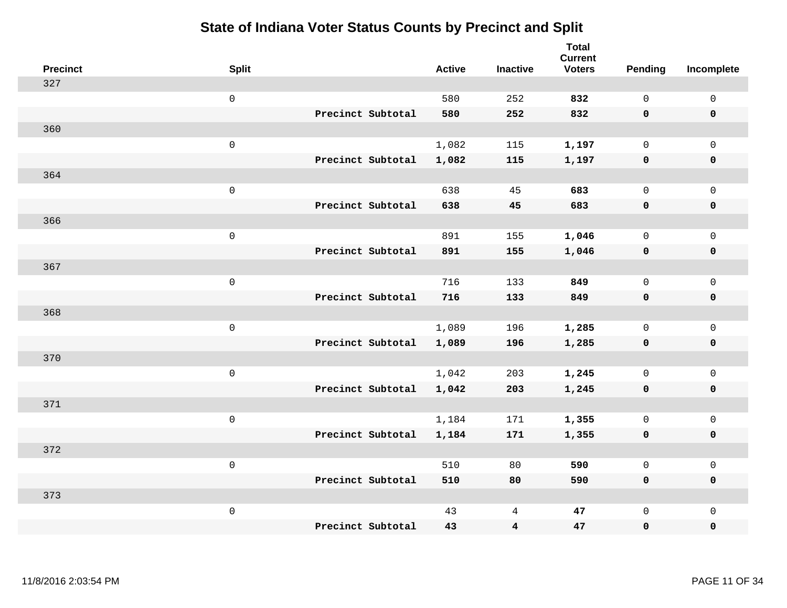| <b>Precinct</b> | <b>Split</b>        |                   | <b>Active</b> | <b>Inactive</b>         | <b>Total</b><br><b>Current</b><br><b>Voters</b> | Pending      | Incomplete          |
|-----------------|---------------------|-------------------|---------------|-------------------------|-------------------------------------------------|--------------|---------------------|
| 327             |                     |                   |               |                         |                                                 |              |                     |
|                 | $\mathsf 0$         |                   | 580           | 252                     | 832                                             | $\mathbf 0$  | $\mathsf 0$         |
|                 |                     | Precinct Subtotal | 580           | 252                     | 832                                             | $\mathbf 0$  | $\mathbf 0$         |
| 360             |                     |                   |               |                         |                                                 |              |                     |
|                 | $\mathsf 0$         |                   | 1,082         | 115                     | 1,197                                           | $\mathsf{O}$ | $\mathsf{O}$        |
|                 |                     | Precinct Subtotal | 1,082         | 115                     | 1,197                                           | $\mathbf 0$  | 0                   |
| 364             |                     |                   |               |                         |                                                 |              |                     |
|                 | $\mathsf 0$         |                   | 638           | 45                      | 683                                             | $\mathbf{0}$ | $\mathsf{O}$        |
|                 |                     | Precinct Subtotal | 638           | 45                      | 683                                             | $\mathbf 0$  | 0                   |
| 366             |                     |                   |               |                         |                                                 |              |                     |
|                 | $\mathsf 0$         |                   | 891           | 155                     | 1,046                                           | $\mathbf 0$  | $\mathsf{O}\xspace$ |
|                 |                     | Precinct Subtotal | 891           | 155                     | 1,046                                           | $\mathbf 0$  | $\pmb{0}$           |
| 367             |                     |                   |               |                         |                                                 |              |                     |
|                 | $\mathbf 0$         |                   | 716           | 133                     | 849                                             | $\mathbf 0$  | $\mathsf 0$         |
|                 |                     | Precinct Subtotal | 716           | 133                     | 849                                             | 0            | $\mathbf 0$         |
| 368             |                     |                   |               |                         |                                                 |              |                     |
|                 | $\,0\,$             |                   | 1,089         | 196                     | 1,285                                           | $\mathbf 0$  | $\mathsf{O}$        |
|                 |                     | Precinct Subtotal | 1,089         | 196                     | 1,285                                           | $\mathbf 0$  | 0                   |
| 370             |                     |                   |               |                         |                                                 |              |                     |
|                 | $\mathbf 0$         |                   | 1,042         | 203                     | 1,245                                           | $\mathbf 0$  | $\mathsf{O}\xspace$ |
|                 |                     | Precinct Subtotal | 1,042         | 203                     | 1,245                                           | 0            | 0                   |
| 371             |                     |                   |               |                         |                                                 |              |                     |
|                 | $\mathsf{O}\xspace$ |                   | 1,184         | 171                     | 1,355                                           | $\mathbf 0$  | $\mathsf{O}\xspace$ |
|                 |                     | Precinct Subtotal | 1,184         | 171                     | 1,355                                           | $\mathbf 0$  | 0                   |
| 372             |                     |                   |               |                         |                                                 |              |                     |
|                 | $\mathbf 0$         |                   | 510           | 80                      | 590                                             | $\mathbf 0$  | $\mathsf 0$         |
|                 |                     | Precinct Subtotal | 510           | 80                      | 590                                             | 0            | 0                   |
| 373             |                     |                   |               |                         |                                                 |              |                     |
|                 | $\mathbf 0$         |                   | 43            | 4                       | 47                                              | $\mathsf{O}$ | $\mathsf{O}$        |
|                 |                     | Precinct Subtotal | 43            | $\overline{\mathbf{4}}$ | 47                                              | 0            | 0                   |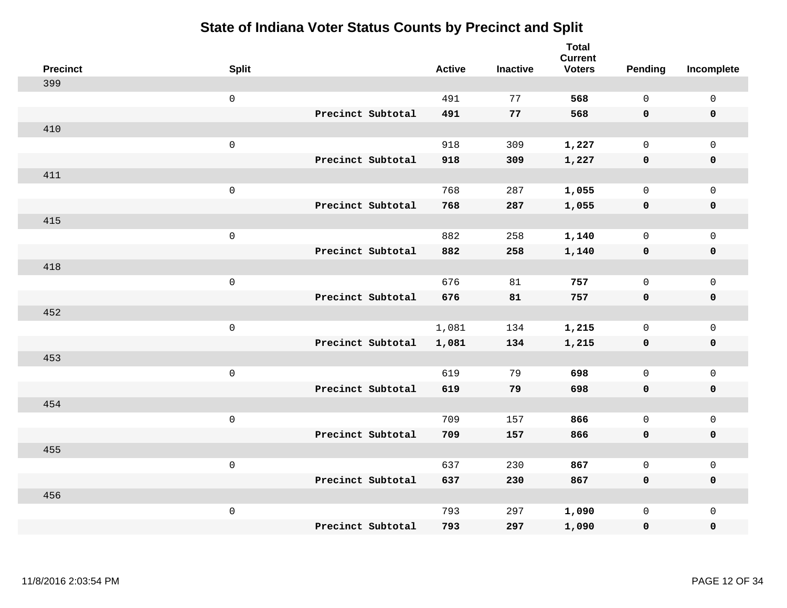| <b>Precinct</b> | <b>Split</b>        | <b>Active</b> | <b>Inactive</b> | <b>Total</b><br><b>Current</b><br><b>Voters</b> | <b>Pending</b> | Incomplete          |
|-----------------|---------------------|---------------|-----------------|-------------------------------------------------|----------------|---------------------|
| 399             |                     |               |                 |                                                 |                |                     |
|                 | $\mathsf 0$         | 491           | 77              | 568                                             | $\mathbf 0$    | $\mathsf 0$         |
|                 | Precinct Subtotal   | 491           | 77              | 568                                             | $\mathbf 0$    | $\mathbf 0$         |
| 410             |                     |               |                 |                                                 |                |                     |
|                 | $\mathsf{O}\xspace$ | 918           | 309             | 1,227                                           | $\mathbf{0}$   | $\mathsf{O}$        |
|                 | Precinct Subtotal   | 918           | 309             | 1,227                                           | $\mathbf 0$    | 0                   |
| 411             |                     |               |                 |                                                 |                |                     |
|                 | $\mathsf{O}\xspace$ | 768           | 287             | 1,055                                           | $\mathbf 0$    | $\mathsf{O}\xspace$ |
|                 | Precinct Subtotal   | 768           | 287             | 1,055                                           | $\mathbf 0$    | $\pmb{0}$           |
| 415             |                     |               |                 |                                                 |                |                     |
|                 | $\mathsf{O}\xspace$ | 882           | 258             | 1,140                                           | $\mathbf 0$    | $\mathsf{O}$        |
|                 | Precinct Subtotal   | 882           | 258             | 1,140                                           | $\mathbf 0$    | 0                   |
| 418             |                     |               |                 |                                                 |                |                     |
|                 | $\mathsf{O}\xspace$ | 676           | 81              | 757                                             | $\mathbf 0$    | $\mathsf{O}\xspace$ |
|                 | Precinct Subtotal   | 676           | 81              | 757                                             | 0              | 0                   |
| 452             |                     |               |                 |                                                 |                |                     |
|                 | $\mathsf 0$         | 1,081         | 134             | 1,215                                           | $\mathbf 0$    | $\mathsf{O}$        |
|                 | Precinct Subtotal   | 1,081         | 134             | 1,215                                           | $\mathbf 0$    | 0                   |
| 453             |                     |               |                 |                                                 |                |                     |
|                 | $\mathsf 0$         | 619           | 79              | 698                                             | $\mathsf{O}$   | $\mathsf{O}$        |
|                 | Precinct Subtotal   | 619           | 79              | 698                                             | 0              | 0                   |
| 454             |                     |               |                 |                                                 |                |                     |
|                 | $\mathsf{O}\xspace$ | 709           | 157             | 866                                             | $\mathsf{O}$   | $\mathsf{O}$        |
|                 | Precinct Subtotal   | 709           | 157             | 866                                             | 0              | 0                   |
| 455             |                     |               |                 |                                                 |                |                     |
|                 | $\mathsf 0$         | 637           | 230             | 867                                             | $\mathbf 0$    | $\mathsf{O}$        |
|                 | Precinct Subtotal   | 637           | 230             | 867                                             | 0              | 0                   |
| 456             |                     |               |                 |                                                 |                |                     |
|                 | $\mathsf 0$         | 793           | 297             | 1,090                                           | $\mathsf{O}$   | $\mathsf{O}$        |
|                 | Precinct Subtotal   | 793           | 297             | 1,090                                           | 0              | 0                   |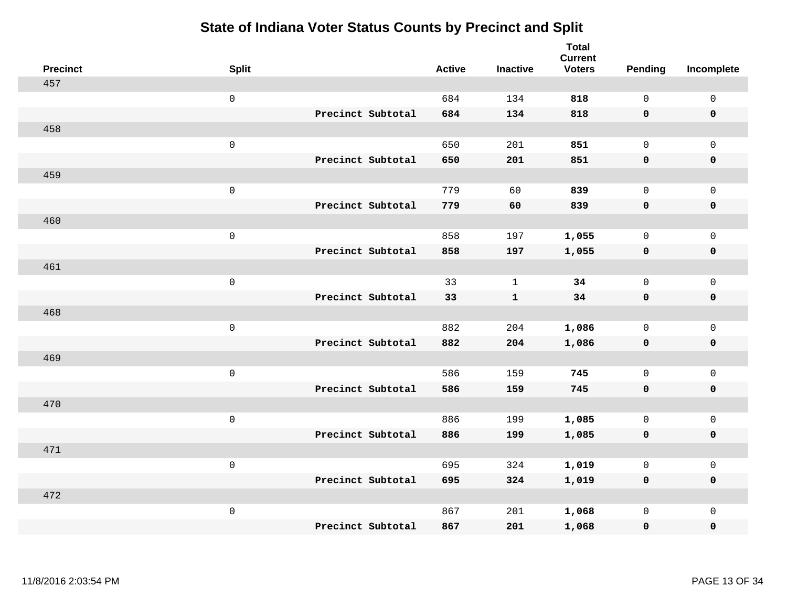| <b>Precinct</b> | <b>Split</b>        |                   | <b>Active</b> | <b>Inactive</b> | <b>Total</b><br><b>Current</b><br><b>Voters</b> | <b>Pending</b> | Incomplete          |
|-----------------|---------------------|-------------------|---------------|-----------------|-------------------------------------------------|----------------|---------------------|
| 457             |                     |                   |               |                 |                                                 |                |                     |
|                 | $\mathsf{O}\xspace$ |                   | 684           | 134             | 818                                             | $\mathsf{O}$   | $\mathsf{O}\xspace$ |
|                 |                     | Precinct Subtotal | 684           | 134             | 818                                             | $\mathbf 0$    | $\mathbf 0$         |
| 458             |                     |                   |               |                 |                                                 |                |                     |
|                 | $\mathsf{O}\xspace$ |                   | 650           | 201             | 851                                             | $\mathbf 0$    | $\mathsf{O}$        |
|                 |                     | Precinct Subtotal | 650           | 201             | 851                                             | $\mathbf 0$    | 0                   |
| 459             |                     |                   |               |                 |                                                 |                |                     |
|                 | $\mathsf{O}\xspace$ |                   | 779           | 60              | 839                                             | $\mathbf 0$    | $\mathsf{O}\xspace$ |
|                 |                     | Precinct Subtotal | 779           | 60              | 839                                             | 0              | $\pmb{0}$           |
| 460             |                     |                   |               |                 |                                                 |                |                     |
|                 | $\mathsf{O}\xspace$ |                   | 858           | 197             | 1,055                                           | $\mathbf 0$    | $\mathsf{O}$        |
|                 |                     | Precinct Subtotal | 858           | 197             | 1,055                                           | $\mathbf 0$    | 0                   |
| 461             |                     |                   |               |                 |                                                 |                |                     |
|                 | $\mathsf{O}\xspace$ |                   | 33            | $\mathbf{1}$    | 34                                              | $\mathbf 0$    | $\mathsf{O}\xspace$ |
|                 |                     | Precinct Subtotal | 33            | $\mathbf{1}$    | 34                                              | 0              | 0                   |
| 468             |                     |                   |               |                 |                                                 |                |                     |
|                 | $\mathsf 0$         |                   | 882           | 204             | 1,086                                           | $\mathbf 0$    | $\mathsf{O}$        |
|                 |                     | Precinct Subtotal | 882           | 204             | 1,086                                           | $\mathbf 0$    | 0                   |
| 469             |                     |                   |               |                 |                                                 |                |                     |
|                 | $\mathsf{O}\xspace$ |                   | 586           | 159             | 745                                             | $\mathsf{O}$   | $\mathsf{O}$        |
|                 |                     | Precinct Subtotal | 586           | 159             | 745                                             | $\mathbf 0$    | 0                   |
| 470             |                     |                   |               |                 |                                                 |                |                     |
|                 | $\mathsf 0$         |                   | 886           | 199             | 1,085                                           | $\mathsf{O}$   | $\mathsf{O}$        |
|                 |                     | Precinct Subtotal | 886           | 199             | 1,085                                           | 0              | 0                   |
| 471             |                     |                   |               |                 |                                                 |                |                     |
|                 | $\mathsf 0$         |                   | 695           | 324             | 1,019                                           | 0              | $\mathsf{O}$        |
|                 |                     | Precinct Subtotal | 695           | 324             | 1,019                                           | 0              | 0                   |
| 472             |                     |                   |               |                 |                                                 |                |                     |
|                 | $\mathsf 0$         |                   | 867           | 201             | 1,068                                           | $\mathsf{O}$   | $\mathsf{O}$        |
|                 |                     | Precinct Subtotal | 867           | 201             | 1,068                                           | 0              | 0                   |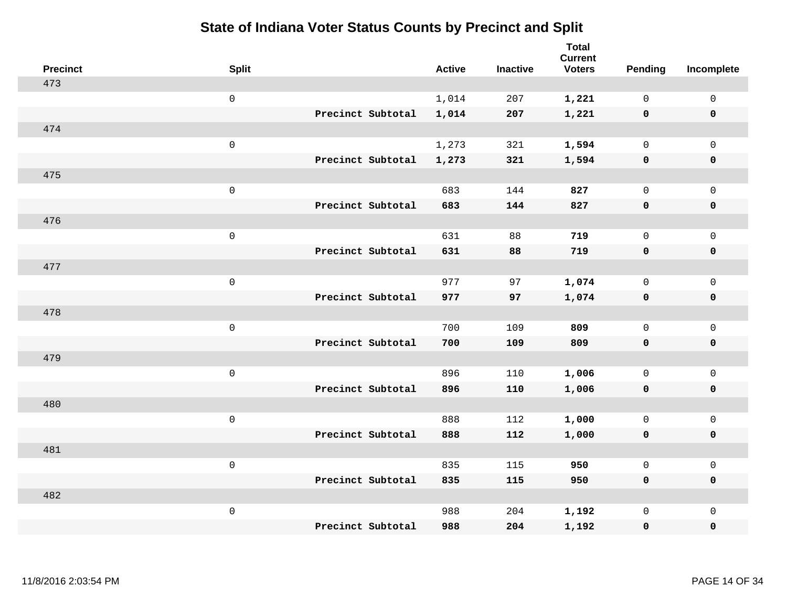| <b>Precinct</b> | <b>Split</b>        |                   | <b>Active</b> | <b>Inactive</b> | <b>Total</b><br><b>Current</b><br><b>Voters</b> | <b>Pending</b> | Incomplete          |
|-----------------|---------------------|-------------------|---------------|-----------------|-------------------------------------------------|----------------|---------------------|
| 473             |                     |                   |               |                 |                                                 |                |                     |
|                 | $\mathsf{O}\xspace$ |                   | 1,014         | 207             | 1,221                                           | $\mathbf{0}$   | $\mathsf{O}$        |
|                 |                     | Precinct Subtotal | 1,014         | 207             | 1,221                                           | $\mathbf 0$    | $\mathbf 0$         |
| 474             |                     |                   |               |                 |                                                 |                |                     |
|                 | $\mathsf{O}\xspace$ |                   | 1,273         | 321             | 1,594                                           | $\mathbf{0}$   | $\mathbf 0$         |
|                 |                     | Precinct Subtotal | 1,273         | 321             | 1,594                                           | $\mathbf 0$    | $\mathbf 0$         |
| 475             |                     |                   |               |                 |                                                 |                |                     |
|                 | $\mathsf 0$         |                   | 683           | 144             | 827                                             | $\mathsf{O}$   | $\mathsf{O}$        |
|                 |                     | Precinct Subtotal | 683           | 144             | 827                                             | 0              | 0                   |
| 476             |                     |                   |               |                 |                                                 |                |                     |
|                 | $\mathsf 0$         |                   | 631           | 88              | 719                                             | 0              | $\mathsf{O}$        |
|                 |                     | Precinct Subtotal | 631           | 88              | 719                                             | 0              | $\pmb{0}$           |
| 477             |                     |                   |               |                 |                                                 |                |                     |
|                 | $\mathsf 0$         |                   | 977           | 97              | 1,074                                           | 0              | $\mathbf 0$         |
|                 |                     | Precinct Subtotal | 977           | 97              | 1,074                                           | 0              | $\mathbf 0$         |
| 478             |                     |                   |               |                 |                                                 |                |                     |
|                 | $\mathsf{O}\xspace$ |                   | 700           | 109             | 809                                             | 0              | $\mathbf 0$         |
|                 |                     | Precinct Subtotal | 700           | 109             | 809                                             | 0              | $\mathbf 0$         |
| 479             |                     |                   |               |                 |                                                 |                |                     |
|                 | $\mathsf 0$         |                   | 896           | 110             | 1,006                                           | 0              | $\mathsf{O}\xspace$ |
|                 |                     | Precinct Subtotal | 896           | 110             | 1,006                                           | 0              | $\mathbf 0$         |
| 480             |                     |                   |               |                 |                                                 |                |                     |
|                 | $\mathsf{O}\xspace$ |                   | 888           | 112             | 1,000                                           | $\mathbf{0}$   | $\mathbf 0$         |
|                 |                     | Precinct Subtotal | 888           | 112             | 1,000                                           | 0              | $\pmb{0}$           |
| 481             |                     |                   |               |                 |                                                 |                |                     |
|                 | $\mathsf 0$         |                   | 835           | 115             | 950                                             | 0              | $\mathsf{O}$        |
|                 |                     | Precinct Subtotal | 835           | 115             | 950                                             | 0              | $\mathbf 0$         |
| 482             |                     |                   |               |                 |                                                 |                |                     |
|                 | $\mathbf 0$         |                   | 988           | 204             | 1,192                                           | 0              | $\mathsf{O}$        |
|                 |                     | Precinct Subtotal | 988           | 204             | 1,192                                           | 0              | $\mathbf 0$         |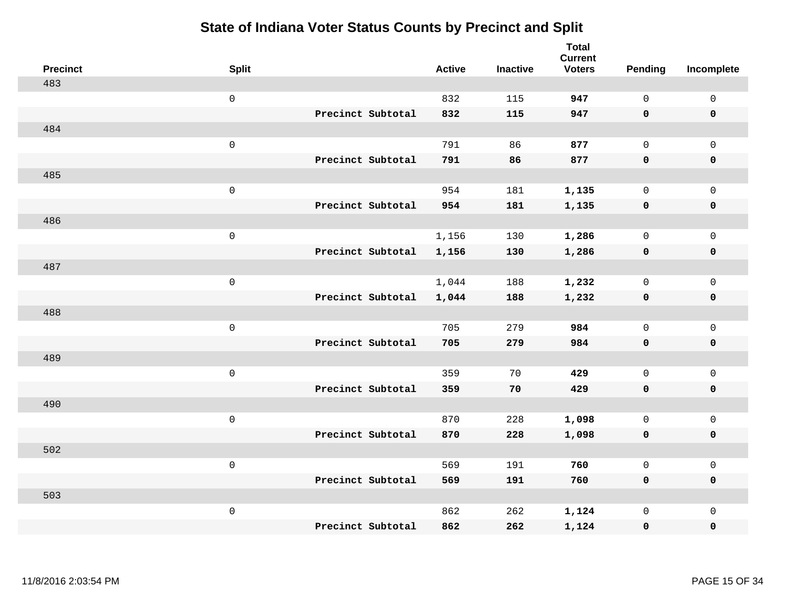| <b>Precinct</b> | <b>Split</b>        |                   | <b>Active</b> | <b>Inactive</b> | <b>Total</b><br><b>Current</b><br><b>Voters</b> | Pending      | Incomplete          |
|-----------------|---------------------|-------------------|---------------|-----------------|-------------------------------------------------|--------------|---------------------|
| 483             |                     |                   |               |                 |                                                 |              |                     |
|                 | $\mathsf 0$         |                   | 832           | 115             | 947                                             | $\mathbf 0$  | $\mathsf 0$         |
|                 |                     | Precinct Subtotal | 832           | 115             | 947                                             | $\mathbf 0$  | $\mathbf 0$         |
| 484             |                     |                   |               |                 |                                                 |              |                     |
|                 | $\mathsf 0$         |                   | 791           | 86              | 877                                             | $\mathsf{O}$ | $\mathsf{O}$        |
|                 |                     | Precinct Subtotal | 791           | 86              | 877                                             | $\mathbf 0$  | 0                   |
| 485             |                     |                   |               |                 |                                                 |              |                     |
|                 | $\mathsf 0$         |                   | 954           | 181             | 1,135                                           | $\mathbf 0$  | $\mathsf{O}$        |
|                 |                     | Precinct Subtotal | 954           | 181             | 1,135                                           | $\mathbf 0$  | 0                   |
| 486             |                     |                   |               |                 |                                                 |              |                     |
|                 | $\mathsf{O}\xspace$ |                   | 1,156         | 130             | 1,286                                           | $\mathbf 0$  | $\mathsf{O}\xspace$ |
|                 |                     | Precinct Subtotal | 1,156         | 130             | 1,286                                           | $\mathbf 0$  | $\pmb{0}$           |
| 487             |                     |                   |               |                 |                                                 |              |                     |
|                 | $\mathsf 0$         |                   | 1,044         | 188             | 1,232                                           | $\mathbf 0$  | $\mathsf{O}\xspace$ |
|                 |                     | Precinct Subtotal | 1,044         | 188             | 1,232                                           | 0            | $\mathbf 0$         |
| 488             |                     |                   |               |                 |                                                 |              |                     |
|                 | $\mathsf{O}\xspace$ |                   | 705           | 279             | 984                                             | $\mathbf 0$  | $\mathsf{O}\xspace$ |
|                 |                     | Precinct Subtotal | 705           | 279             | 984                                             | $\mathbf 0$  | 0                   |
| 489             |                     |                   |               |                 |                                                 |              |                     |
|                 | $\mathsf{O}\xspace$ |                   | 359           | 70              | 429                                             | $\mathbf 0$  | $\mathsf{O}\xspace$ |
|                 |                     | Precinct Subtotal | 359           | 70              | 429                                             | 0            | 0                   |
| 490             |                     |                   |               |                 |                                                 |              |                     |
|                 | $\mathsf 0$         |                   | 870           | 228             | 1,098                                           | $\mathbf 0$  | $\mathsf{O}\xspace$ |
|                 |                     | Precinct Subtotal | 870           | 228             | 1,098                                           | $\mathbf 0$  | 0                   |
| 502             |                     |                   |               |                 |                                                 |              |                     |
|                 | $\mathsf 0$         |                   | 569           | 191             | 760                                             | $\mathsf{O}$ | $\mathsf{O}\xspace$ |
|                 |                     | Precinct Subtotal | 569           | 191             | 760                                             | $\mathbf 0$  | 0                   |
| 503             |                     |                   |               |                 |                                                 |              |                     |
|                 | $\mathsf 0$         |                   | 862           | 262             | 1,124                                           | $\mathsf{O}$ | $\mathsf{O}$        |
|                 |                     | Precinct Subtotal | 862           | 262             | 1,124                                           | 0            | 0                   |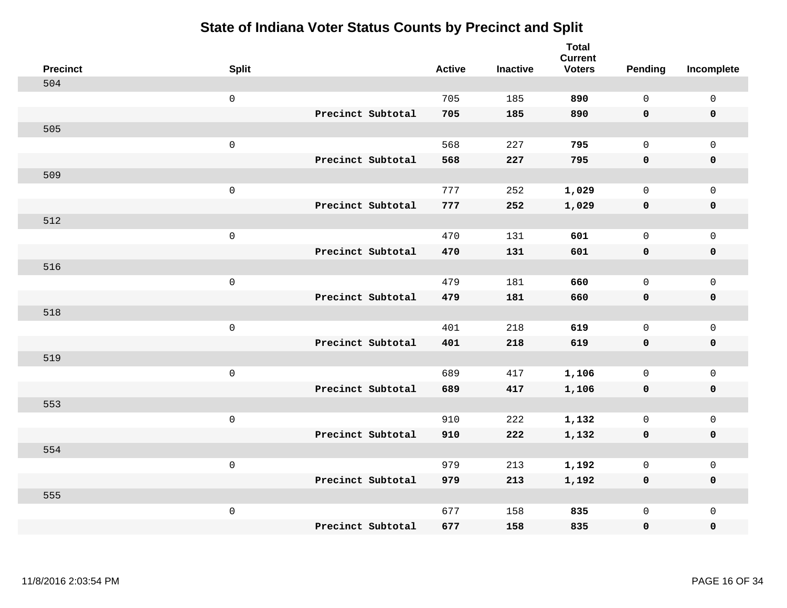| <b>Precinct</b> | <b>Split</b>        |                   | <b>Active</b> | <b>Inactive</b> | <b>Total</b><br><b>Current</b><br><b>Voters</b> | <b>Pending</b> | Incomplete          |
|-----------------|---------------------|-------------------|---------------|-----------------|-------------------------------------------------|----------------|---------------------|
| 504             |                     |                   |               |                 |                                                 |                |                     |
|                 | $\mathsf{O}\xspace$ |                   | 705           | 185             | 890                                             | $\mathbf 0$    | $\mathbf 0$         |
|                 |                     | Precinct Subtotal | 705           | 185             | 890                                             | $\mathbf 0$    | $\mathbf 0$         |
| 505             |                     |                   |               |                 |                                                 |                |                     |
|                 | $\mathbf 0$         |                   | 568           | 227             | 795                                             | $\mathbf 0$    | $\mathbf 0$         |
|                 |                     | Precinct Subtotal | 568           | 227             | 795                                             | $\mathbf 0$    | $\pmb{0}$           |
| 509             |                     |                   |               |                 |                                                 |                |                     |
|                 | $\mathsf 0$         |                   | 777           | 252             | 1,029                                           | $\mathbf 0$    | $\mathsf 0$         |
|                 |                     | Precinct Subtotal | 777           | 252             | 1,029                                           | $\mathbf 0$    | $\mathbf 0$         |
| 512             |                     |                   |               |                 |                                                 |                |                     |
|                 | $\mathbf 0$         |                   | 470           | 131             | 601                                             | $\mathbf 0$    | $\mathbf 0$         |
|                 |                     | Precinct Subtotal | 470           | 131             | 601                                             | $\mathbf 0$    | $\mathbf 0$         |
| 516             |                     |                   |               |                 |                                                 |                |                     |
|                 | $\mathsf 0$         |                   | 479           | 181             | 660                                             | $\Omega$       | $\mathbf{0}$        |
|                 |                     | Precinct Subtotal | 479           | 181             | 660                                             | $\mathbf 0$    | $\mathbf 0$         |
| 518             |                     |                   |               |                 |                                                 |                |                     |
|                 | $\mathbf 0$         |                   | 401           | 218             | 619                                             | $\mathbf 0$    | $\mathsf{O}\xspace$ |
|                 |                     | Precinct Subtotal | 401           | 218             | 619                                             | $\mathbf 0$    | $\mathbf 0$         |
| 519             |                     |                   |               |                 |                                                 |                |                     |
|                 | $\mathbf 0$         |                   | 689           | 417             | 1,106                                           | $\mathbf 0$    | $\mathsf{O}\xspace$ |
|                 |                     | Precinct Subtotal | 689           | 417             | 1,106                                           | 0              | $\mathbf 0$         |
| 553             |                     |                   |               |                 |                                                 |                |                     |
|                 | $\mathbf 0$         |                   | 910           | 222             | 1,132                                           | $\mathbf 0$    | $\mathsf{O}\xspace$ |
|                 |                     | Precinct Subtotal | 910           | 222             | 1,132                                           | $\mathbf 0$    | $\mathbf 0$         |
| 554             |                     |                   |               |                 |                                                 |                |                     |
|                 | $\mathsf 0$         |                   | 979           | 213             | 1,192                                           | 0              | $\mathsf 0$         |
|                 |                     | Precinct Subtotal | 979           | 213             | 1,192                                           | $\mathbf 0$    | $\mathbf 0$         |
| 555             |                     |                   |               |                 |                                                 |                |                     |
|                 | $\mathbf 0$         |                   | 677           | 158             | 835                                             | $\mathsf{O}$   | $\mathbf 0$         |
|                 |                     | Precinct Subtotal | 677           | 158             | 835                                             | 0              | $\pmb{0}$           |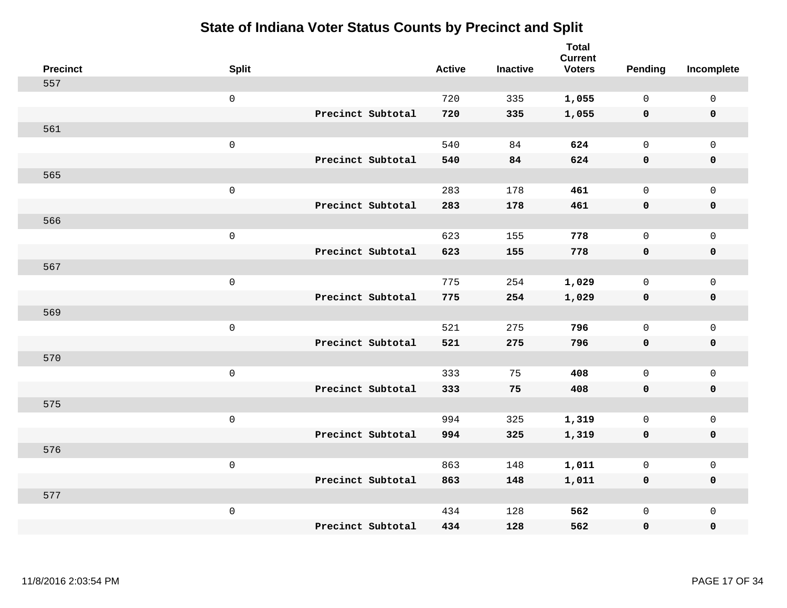| <b>Precinct</b> | <b>Split</b>        |                   | <b>Active</b> | <b>Inactive</b> | <b>Total</b><br><b>Current</b><br><b>Voters</b> | Pending      | Incomplete          |
|-----------------|---------------------|-------------------|---------------|-----------------|-------------------------------------------------|--------------|---------------------|
| 557             |                     |                   |               |                 |                                                 |              |                     |
|                 | $\mathsf{O}$        |                   | 720           | 335             | 1,055                                           | $\mathbf 0$  | $\mathsf{O}\xspace$ |
|                 |                     | Precinct Subtotal | 720           | 335             | 1,055                                           | $\mathbf 0$  | $\pmb{0}$           |
| 561             |                     |                   |               |                 |                                                 |              |                     |
|                 | $\mathsf 0$         |                   | 540           | 84              | 624                                             | $\mathbf 0$  | $\mathbf{0}$        |
|                 |                     | Precinct Subtotal | 540           | 84              | 624                                             | $\mathbf 0$  | $\pmb{0}$           |
| 565             |                     |                   |               |                 |                                                 |              |                     |
|                 | $\mathsf 0$         |                   | 283           | 178             | 461                                             | $\mathbf 0$  | $\mathsf{O}$        |
|                 |                     | Precinct Subtotal | 283           | 178             | 461                                             | 0            | 0                   |
| 566             |                     |                   |               |                 |                                                 |              |                     |
|                 | $\mathbf 0$         |                   | 623           | 155             | 778                                             | $\mathbf 0$  | $\mathsf{O}\xspace$ |
|                 |                     | Precinct Subtotal | 623           | 155             | 778                                             | $\mathbf 0$  | 0                   |
| 567             |                     |                   |               |                 |                                                 |              |                     |
|                 | $\mathbf 0$         |                   | 775           | 254             | 1,029                                           | $\mathbf 0$  | $\mathsf{O}\xspace$ |
|                 |                     | Precinct Subtotal | 775           | 254             | 1,029                                           | 0            | 0                   |
| 569             |                     |                   |               |                 |                                                 |              |                     |
|                 | $\mathsf{O}\xspace$ |                   | 521           | 275             | 796                                             | $\mathbf 0$  | $\mathsf{O}\xspace$ |
|                 |                     | Precinct Subtotal | 521           | 275             | 796                                             | 0            | 0                   |
| 570             |                     |                   |               |                 |                                                 |              |                     |
|                 | $\mathbf 0$         |                   | 333           | 75              | 408                                             | $\mathbf 0$  | $\mathsf{O}$        |
|                 |                     | Precinct Subtotal | 333           | 75              | 408                                             | 0            | 0                   |
| 575             |                     |                   |               |                 |                                                 |              |                     |
|                 | $\mathsf{O}\xspace$ |                   | 994           | 325             | 1,319                                           | $\mathbf 0$  | $\mathsf{O}$        |
|                 |                     | Precinct Subtotal | 994           | 325             | 1,319                                           | 0            | 0                   |
| 576             |                     |                   |               |                 |                                                 |              |                     |
|                 | $\mathsf 0$         |                   | 863           | 148             | 1,011                                           | $\mathsf{O}$ | $\mathsf{O}$        |
|                 |                     | Precinct Subtotal | 863           | 148             | 1,011                                           | 0            | 0                   |
| 577             |                     |                   |               |                 |                                                 |              |                     |
|                 | $\mathbf 0$         |                   | 434           | 128             | 562                                             | $\mathsf{O}$ | $\mathsf{O}$        |
|                 |                     | Precinct Subtotal | 434           | 128             | 562                                             | 0            | 0                   |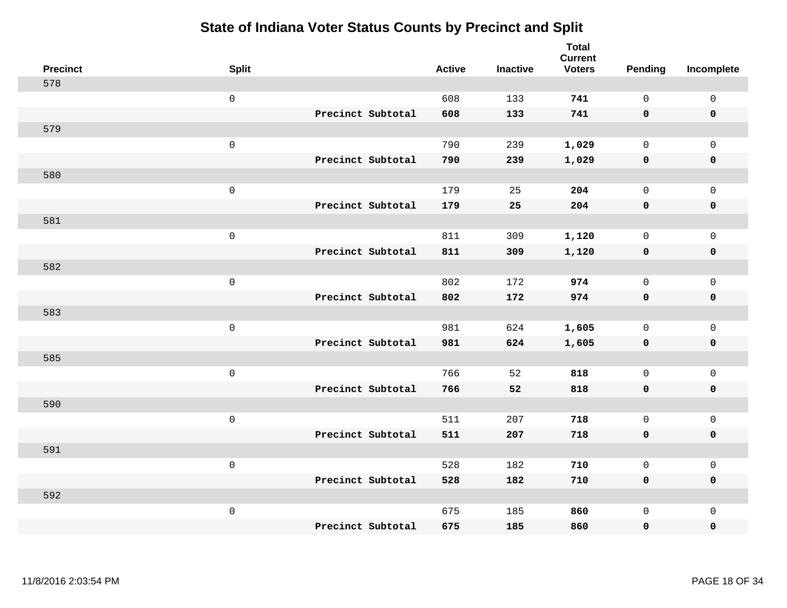| <b>Precinct</b> | <b>Split</b>        | <b>Active</b> | <b>Inactive</b> | <b>Total</b><br><b>Current</b><br><b>Voters</b> | <b>Pending</b> | Incomplete   |
|-----------------|---------------------|---------------|-----------------|-------------------------------------------------|----------------|--------------|
| 578             |                     |               |                 |                                                 |                |              |
|                 | $\mathsf{O}\xspace$ | 608           | 133             | 741                                             | $\mathbf 0$    | $\mathsf 0$  |
|                 | Precinct Subtotal   | 608           | 133             | 741                                             | $\mathbf 0$    | $\mathbf 0$  |
| 579             |                     |               |                 |                                                 |                |              |
|                 | $\mathbf 0$         | 790           | 239             | 1,029                                           | $\mathbf 0$    | $\mathbf 0$  |
|                 | Precinct Subtotal   | 790           | 239             | 1,029                                           | 0              | $\pmb{0}$    |
| 580             |                     |               |                 |                                                 |                |              |
|                 | $\mathsf 0$         | 179           | 25              | 204                                             | $\mathbf 0$    | $\mathsf 0$  |
|                 | Precinct Subtotal   | 179           | 25              | 204                                             | $\mathbf 0$    | $\mathbf 0$  |
| 581             |                     |               |                 |                                                 |                |              |
|                 | $\mathbf 0$         | 811           | 309             | 1,120                                           | $\mathbf 0$    | $\mathbf 0$  |
|                 | Precinct Subtotal   | 811           | 309             | 1,120                                           | $\mathbf 0$    | $\mathbf 0$  |
| 582             |                     |               |                 |                                                 |                |              |
|                 | $\mathsf 0$         | 802           | 172             | 974                                             | $\Omega$       | $\mathbf{0}$ |
|                 | Precinct Subtotal   | 802           | 172             | 974                                             | $\mathbf 0$    | $\mathbf 0$  |
| 583             |                     |               |                 |                                                 |                |              |
|                 | $\mathbf 0$         | 981           | 624             | 1,605                                           | $\mathsf{O}$   | $\mathbf 0$  |
|                 | Precinct Subtotal   | 981           | 624             | 1,605                                           | $\mathbf 0$    | $\mathbf 0$  |
| 585             |                     |               |                 |                                                 |                |              |
|                 | $\mathbf 0$         | 766           | 52              | 818                                             | $\mathbf 0$    | $\mathsf 0$  |
|                 | Precinct Subtotal   | 766           | 52              | 818                                             | $\mathbf 0$    | $\mathbf 0$  |
| 590             |                     |               |                 |                                                 |                |              |
|                 | $\mathbf 0$         | 511           | 207             | 718                                             | $\mathbf 0$    | $\mathsf 0$  |
|                 | Precinct Subtotal   | 511           | 207             | 718                                             | $\mathbf 0$    | $\mathbf 0$  |
| 591             |                     |               |                 |                                                 |                |              |
|                 | $\mathbf 0$         | 528           | 182             | 710                                             | 0              | $\mathsf 0$  |
|                 | Precinct Subtotal   | 528           | 182             | 710                                             | $\mathbf 0$    | $\mathbf 0$  |
| 592             |                     |               |                 |                                                 |                |              |
|                 | $\mathbf 0$         | 675           | 185             | 860                                             | $\mathbf 0$    | $\mathbf 0$  |
|                 | Precinct Subtotal   | 675           | 185             | 860                                             | 0              | $\pmb{0}$    |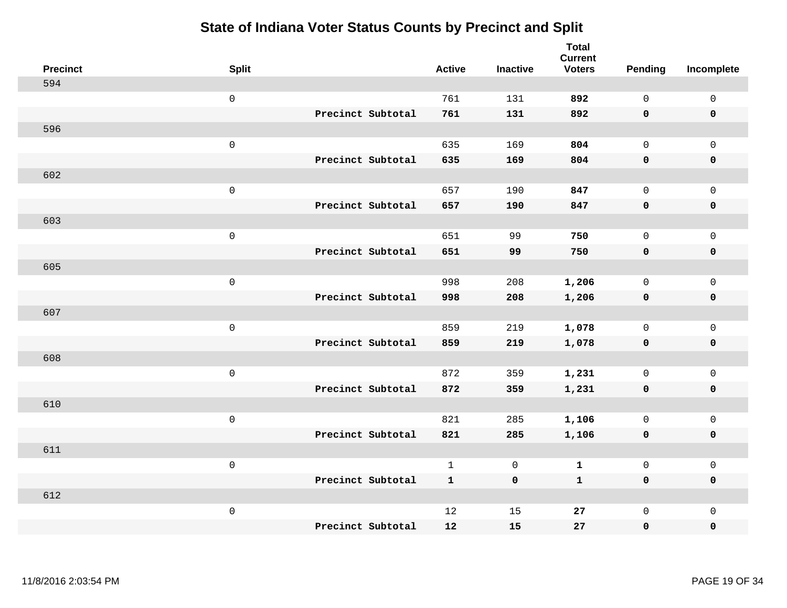| <b>Precinct</b> | <b>Split</b> |                   | <b>Active</b> | <b>Inactive</b> | <b>Total</b><br><b>Current</b><br><b>Voters</b> | <b>Pending</b> | Incomplete          |
|-----------------|--------------|-------------------|---------------|-----------------|-------------------------------------------------|----------------|---------------------|
| 594             |              |                   |               |                 |                                                 |                |                     |
|                 | $\mathsf 0$  |                   | 761           | 131             | 892                                             | $\mathbf 0$    | $\mathsf 0$         |
|                 |              | Precinct Subtotal | 761           | 131             | 892                                             | $\mathbf 0$    | $\mathbf 0$         |
| 596             |              |                   |               |                 |                                                 |                |                     |
|                 | $\mathsf 0$  |                   | 635           | 169             | 804                                             | $\mathbf 0$    | $\mathbf 0$         |
|                 |              | Precinct Subtotal | 635           | 169             | 804                                             | $\mathbf 0$    | $\pmb{0}$           |
| 602             |              |                   |               |                 |                                                 |                |                     |
|                 | $\mathsf 0$  |                   | 657           | 190             | 847                                             | $\mathbf 0$    | $\mathsf{O}\xspace$ |
|                 |              | Precinct Subtotal | 657           | 190             | 847                                             | $\mathbf 0$    | $\mathbf 0$         |
| 603             |              |                   |               |                 |                                                 |                |                     |
|                 | $\mathbf 0$  |                   | 651           | 99              | 750                                             | $\mathbf 0$    | $\mathbf 0$         |
|                 |              | Precinct Subtotal | 651           | 99              | 750                                             | $\mathbf 0$    | $\mathbf 0$         |
| 605             |              |                   |               |                 |                                                 |                |                     |
|                 | $\mathsf 0$  |                   | 998           | 208             | 1,206                                           | $\mathbf 0$    | $\mathbf{0}$        |
|                 |              | Precinct Subtotal | 998           | 208             | 1,206                                           | 0              | $\mathbf 0$         |
| 607             |              |                   |               |                 |                                                 |                |                     |
|                 | $\mathbf 0$  |                   | 859           | 219             | 1,078                                           | $\mathsf{O}$   | $\mathsf{O}\xspace$ |
|                 |              | Precinct Subtotal | 859           | 219             | 1,078                                           | $\mathbf 0$    | $\mathbf 0$         |
| 608             |              |                   |               |                 |                                                 |                |                     |
|                 | $\mathbf 0$  |                   | 872           | 359             | 1,231                                           | $\mathbf 0$    | $\mathsf{O}\xspace$ |
|                 |              | Precinct Subtotal | 872           | 359             | 1,231                                           | 0              | $\mathbf 0$         |
| 610             |              |                   |               |                 |                                                 |                |                     |
|                 | $\mathbf 0$  |                   | 821           | 285             | 1,106                                           | $\mathbf 0$    | $\mathsf{O}\xspace$ |
|                 |              | Precinct Subtotal | 821           | 285             | 1,106                                           | $\mathbf 0$    | $\mathbf 0$         |
| 611             |              |                   |               |                 |                                                 |                |                     |
|                 | $\mathsf 0$  |                   | $\mathbf{1}$  | 0               | $\mathbf 1$                                     | $\mathsf{O}$   | $\mathsf 0$         |
|                 |              | Precinct Subtotal | $\mathbf{1}$  | $\mathbf 0$     | $\mathbf{1}$                                    | $\mathbf 0$    | $\mathbf 0$         |
| 612             |              |                   |               |                 |                                                 |                |                     |
|                 | $\mathbf 0$  |                   | 12            | 15              | 27                                              | $\mathsf{O}$   | $\mathbf 0$         |
|                 |              | Precinct Subtotal | 12            | 15              | 27                                              | 0              | $\pmb{0}$           |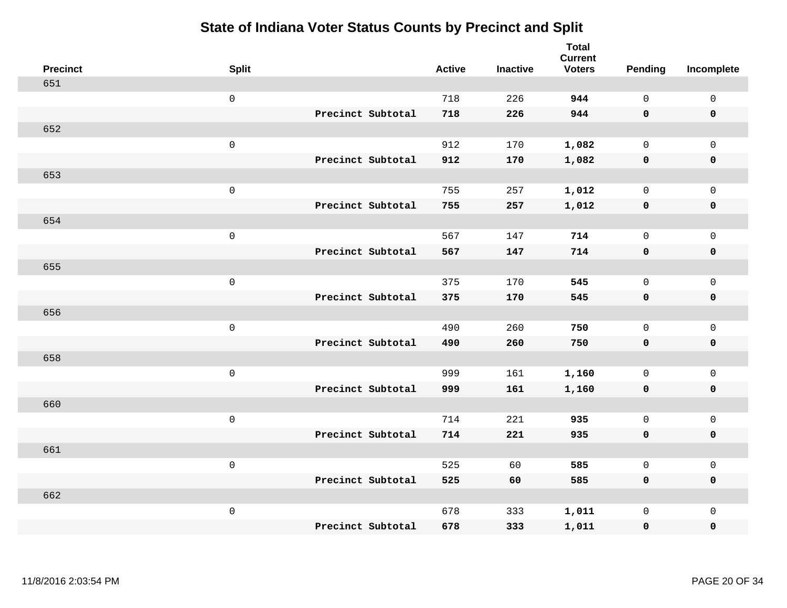| <b>Precinct</b> | <b>Split</b>        |                   | <b>Active</b> | <b>Inactive</b> | <b>Total</b><br><b>Current</b><br><b>Voters</b> | Pending      | Incomplete          |
|-----------------|---------------------|-------------------|---------------|-----------------|-------------------------------------------------|--------------|---------------------|
| 651             |                     |                   |               |                 |                                                 |              |                     |
|                 | $\mathsf 0$         |                   | 718           | 226             | 944                                             | $\mathbf{0}$ | $\mathsf{O}\xspace$ |
|                 |                     | Precinct Subtotal | 718           | 226             | 944                                             | $\mathbf 0$  | $\mathbf 0$         |
| 652             |                     |                   |               |                 |                                                 |              |                     |
|                 | $\mathsf 0$         |                   | 912           | 170             | 1,082                                           | $\mathbf 0$  | $\mathsf{O}$        |
|                 |                     | Precinct Subtotal | 912           | 170             | 1,082                                           | $\mathbf 0$  | 0                   |
| 653             |                     |                   |               |                 |                                                 |              |                     |
|                 | $\mathsf 0$         |                   | 755           | 257             | 1,012                                           | $\mathbf 0$  | $\mathsf{O}$        |
|                 |                     | Precinct Subtotal | 755           | 257             | 1,012                                           | $\mathbf 0$  | 0                   |
| 654             |                     |                   |               |                 |                                                 |              |                     |
|                 | $\mathsf 0$         |                   | 567           | 147             | 714                                             | $\mathbf{0}$ | $\mathsf{O}\xspace$ |
|                 |                     | Precinct Subtotal | 567           | 147             | 714                                             | $\mathbf 0$  | $\pmb{0}$           |
| 655             |                     |                   |               |                 |                                                 |              |                     |
|                 | $\mathsf 0$         |                   | 375           | 170             | 545                                             | $\mathbf{0}$ | $\mathsf{O}\xspace$ |
|                 |                     | Precinct Subtotal | 375           | 170             | 545                                             | 0            | $\pmb{0}$           |
| 656             |                     |                   |               |                 |                                                 |              |                     |
|                 | $\mathbf 0$         |                   | 490           | 260             | 750                                             | $\mathsf{O}$ | $\mathsf{O}\xspace$ |
|                 |                     | Precinct Subtotal | 490           | 260             | 750                                             | $\mathbf 0$  | 0                   |
| 658             |                     |                   |               |                 |                                                 |              |                     |
|                 | $\mathbf 0$         |                   | 999           | 161             | 1,160                                           | $\mathsf{O}$ | $\mathsf{O}\xspace$ |
|                 |                     | Precinct Subtotal | 999           | 161             | 1,160                                           | 0            | 0                   |
| 660             |                     |                   |               |                 |                                                 |              |                     |
|                 | $\mathsf{O}\xspace$ |                   | 714           | 221             | 935                                             | $\mathbf 0$  | $\mathsf{O}\xspace$ |
|                 |                     | Precinct Subtotal | 714           | 221             | 935                                             | 0            | 0                   |
| 661             |                     |                   |               |                 |                                                 |              |                     |
|                 | $\mathsf 0$         |                   | 525           | 60              | 585                                             | $\mathsf{O}$ | $\mathsf 0$         |
|                 |                     | Precinct Subtotal | 525           | 60              | 585                                             | 0            | 0                   |
| 662             |                     |                   |               |                 |                                                 |              |                     |
|                 | $\mathbf 0$         |                   | 678           | 333             | 1,011                                           | $\mathsf{O}$ | $\mathsf{O}$        |
|                 |                     | Precinct Subtotal | 678           | 333             | 1,011                                           | 0            | 0                   |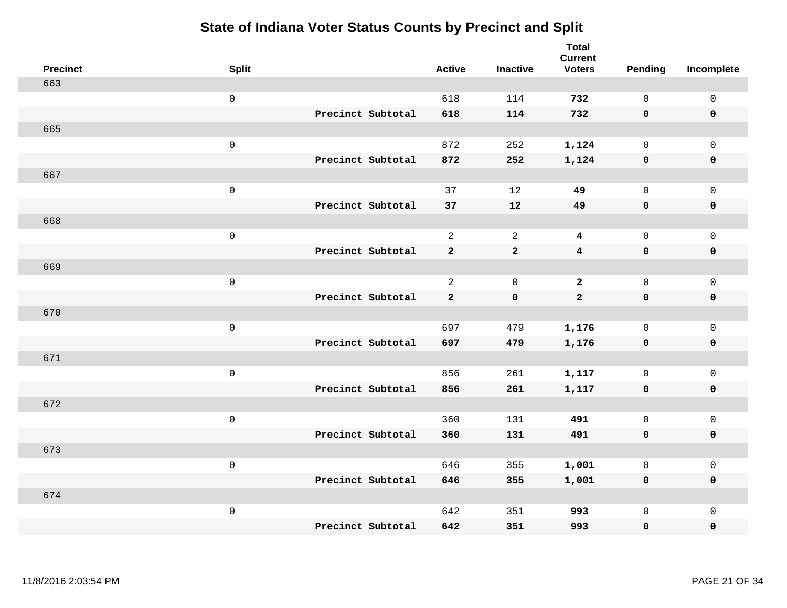| <b>Precinct</b> | <b>Split</b> |                   | <b>Active</b>  | <b>Inactive</b> | <b>Total</b><br><b>Current</b><br><b>Voters</b> | <b>Pending</b> | Incomplete          |
|-----------------|--------------|-------------------|----------------|-----------------|-------------------------------------------------|----------------|---------------------|
| 663             |              |                   |                |                 |                                                 |                |                     |
|                 | $\mathsf{O}$ |                   | 618            | 114             | 732                                             | $\mathbf 0$    | $\mathsf 0$         |
|                 |              | Precinct Subtotal | 618            | 114             | 732                                             | $\mathbf 0$    | $\mathbf 0$         |
| 665             |              |                   |                |                 |                                                 |                |                     |
|                 | $\mathsf{O}$ |                   | 872            | 252             | 1,124                                           | $\mathbf{0}$   | $\mathsf{O}$        |
|                 |              | Precinct Subtotal | 872            | 252             | 1,124                                           | $\mathbf 0$    | 0                   |
| 667             |              |                   |                |                 |                                                 |                |                     |
|                 | $\mathsf 0$  |                   | 37             | 12              | 49                                              | $\mathbf 0$    | $\mathsf{O}\xspace$ |
|                 |              | Precinct Subtotal | 37             | 12              | 49                                              | 0              | $\pmb{0}$           |
| 668             |              |                   |                |                 |                                                 |                |                     |
|                 | $\mathbf 0$  |                   | $\overline{a}$ | 2               | 4                                               | $\mathbf 0$    | $\mathsf{O}$        |
|                 |              | Precinct Subtotal | $\mathbf{2}$   | $\mathbf{2}$    | $\overline{\mathbf{4}}$                         | $\mathbf 0$    | 0                   |
| 669             |              |                   |                |                 |                                                 |                |                     |
|                 | $\mathbf 0$  |                   | $\overline{2}$ | $\overline{0}$  | $\overline{a}$                                  | $\mathbf 0$    | $\mathsf{O}\xspace$ |
|                 |              | Precinct Subtotal | $\mathbf{2}$   | $\mathbf 0$     | $\mathbf{2}$                                    | 0              | 0                   |
| 670             |              |                   |                |                 |                                                 |                |                     |
|                 | $\mathbf 0$  |                   | 697            | 479             | 1,176                                           | $\mathbf 0$    | $\mathsf{O}\xspace$ |
|                 |              | Precinct Subtotal | 697            | 479             | 1,176                                           | $\mathbf 0$    | 0                   |
| 671             |              |                   |                |                 |                                                 |                |                     |
|                 | $\mathbf 0$  |                   | 856            | 261             | 1,117                                           | $\mathbf 0$    | $\mathsf{O}$        |
|                 |              | Precinct Subtotal | 856            | 261             | 1,117                                           | 0              | 0                   |
| 672             |              |                   |                |                 |                                                 |                |                     |
|                 | $\mathbf 0$  |                   | 360            | 131             | 491                                             | $\mathbf 0$    | $\mathsf{O}\xspace$ |
|                 |              | Precinct Subtotal | 360            | 131             | 491                                             | $\mathbf 0$    | 0                   |
| 673             |              |                   |                |                 |                                                 |                |                     |
|                 | $\mathbf 0$  |                   | 646            | 355             | 1,001                                           | $\mathbf 0$    | $\mathsf{O}$        |
|                 |              | Precinct Subtotal | 646            | 355             | 1,001                                           | 0              | 0                   |
| 674             |              |                   |                |                 |                                                 |                |                     |
|                 | $\mathbf 0$  |                   | 642            | 351             | 993                                             | $\mathsf{O}$   | $\mathsf{O}$        |
|                 |              | Precinct Subtotal | 642            | 351             | 993                                             | 0              | 0                   |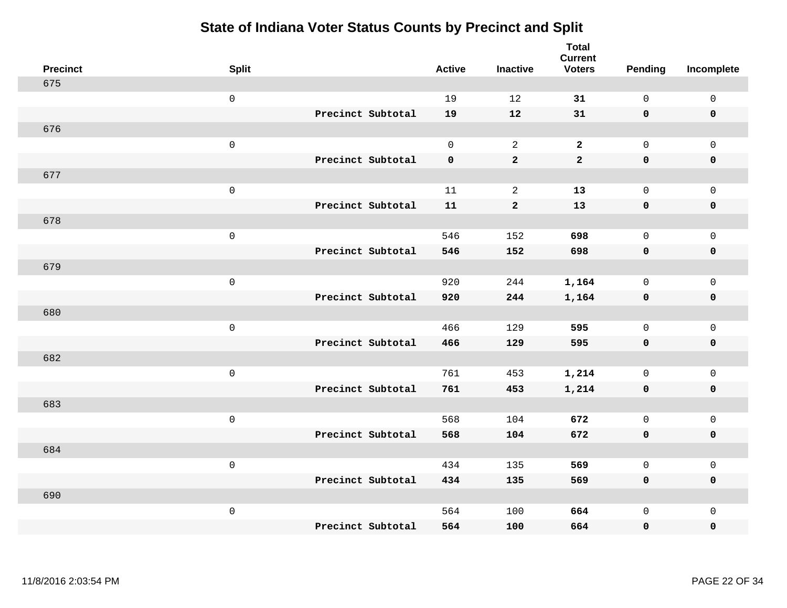| <b>Precinct</b> | <b>Split</b>        |                   | <b>Active</b> | <b>Inactive</b> | <b>Total</b><br><b>Current</b><br><b>Voters</b> | <b>Pending</b>      | Incomplete  |
|-----------------|---------------------|-------------------|---------------|-----------------|-------------------------------------------------|---------------------|-------------|
| 675             |                     |                   |               |                 |                                                 |                     |             |
|                 | $\mbox{O}$          |                   | 19            | 12              | 31                                              | $\mathsf 0$         | $\mathsf 0$ |
|                 |                     | Precinct Subtotal | 19            | 12              | 31                                              | $\mathbf 0$         | $\mathbf 0$ |
| 676             |                     |                   |               |                 |                                                 |                     |             |
|                 | $\mathsf{O}\xspace$ |                   | $\mathsf{O}$  | 2               | $\overline{a}$                                  | $\mathsf{O}\xspace$ | $\mathsf 0$ |
|                 |                     | Precinct Subtotal | $\mathbf 0$   | $\mathbf 2$     | $\mathbf{2}$                                    | $\mathbf 0$         | $\pmb{0}$   |
| 677             |                     |                   |               |                 |                                                 |                     |             |
|                 | $\mbox{O}$          |                   | 11            | $\sqrt{2}$      | 13                                              | $\mathsf{O}$        | $\mathsf 0$ |
|                 |                     | Precinct Subtotal | 11            | $\mathbf{2}$    | 13                                              | $\mathbf 0$         | $\mathbf 0$ |
| 678             |                     |                   |               |                 |                                                 |                     |             |
|                 | $\mathsf 0$         |                   | 546           | 152             | 698                                             | $\mathsf{O}$        | $\mathsf 0$ |
|                 |                     | Precinct Subtotal | 546           | 152             | 698                                             | $\mathbf 0$         | $\pmb{0}$   |
| 679             |                     |                   |               |                 |                                                 |                     |             |
|                 | $\mathsf 0$         |                   | 920           | 244             | 1,164                                           | $\mathsf{O}$        | $\mathsf 0$ |
|                 |                     | Precinct Subtotal | 920           | 244             | 1,164                                           | $\mathbf 0$         | $\mathbf 0$ |
| 680             |                     |                   |               |                 |                                                 |                     |             |
|                 | $\mathsf 0$         |                   | 466           | 129             | 595                                             | $\mathsf{O}$        | $\mathsf 0$ |
|                 |                     | Precinct Subtotal | 466           | 129             | 595                                             | $\mathbf 0$         | $\mathbf 0$ |
| 682             |                     |                   |               |                 |                                                 |                     |             |
|                 | $\mathsf 0$         |                   | 761           | 453             | 1,214                                           | $\mathbf 0$         | $\mathsf 0$ |
|                 |                     | Precinct Subtotal | 761           | 453             | 1,214                                           | $\mathbf 0$         | $\mathbf 0$ |
| 683             |                     |                   |               |                 |                                                 |                     |             |
|                 | $\mathsf 0$         |                   | 568           | 104             | 672                                             | $\mathsf{O}$        | $\mathsf 0$ |
|                 |                     | Precinct Subtotal | 568           | 104             | 672                                             | $\mathbf 0$         | $\mathbf 0$ |
| 684             |                     |                   |               |                 |                                                 |                     |             |
|                 | $\mathsf{O}\xspace$ |                   | 434           | 135             | 569                                             | $\mathbf 0$         | $\mathsf 0$ |
|                 |                     | Precinct Subtotal | 434           | 135             | 569                                             | $\mathbf 0$         | $\mathbf 0$ |
| 690             |                     |                   |               |                 |                                                 |                     |             |
|                 | $\mathbf 0$         | Precinct Subtotal | 564           | 100             | 664                                             | $\mathsf{O}$        | $\mathbf 0$ |
|                 |                     |                   | 564           | 100             | 664                                             | 0                   | $\pmb{0}$   |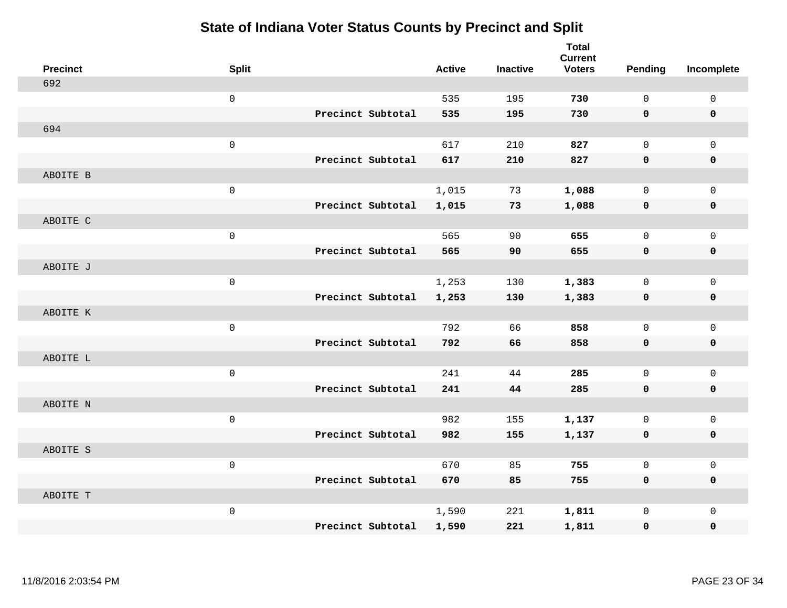| <b>Precinct</b> | <b>Split</b>        |                   | <b>Active</b> | <b>Inactive</b> | <b>Total</b><br><b>Current</b><br><b>Voters</b> | <b>Pending</b> | Incomplete   |
|-----------------|---------------------|-------------------|---------------|-----------------|-------------------------------------------------|----------------|--------------|
| 692             |                     |                   |               |                 |                                                 |                |              |
|                 | $\mathsf 0$         |                   | 535           | 195             | 730                                             | $\mathbf 0$    | $\mathsf 0$  |
|                 |                     | Precinct Subtotal | 535           | 195             | 730                                             | 0              | $\mathbf 0$  |
| 694             |                     |                   |               |                 |                                                 |                |              |
|                 | $\mathsf{O}\xspace$ |                   | 617           | 210             | 827                                             | $\mathbf 0$    | $\mathsf{O}$ |
|                 |                     | Precinct Subtotal | 617           | 210             | 827                                             | $\mathbf 0$    | 0            |
| ABOITE B        |                     |                   |               |                 |                                                 |                |              |
|                 | $\mathsf{O}\xspace$ |                   | 1,015         | 73              | 1,088                                           | $\mathbf 0$    | $\mathsf{O}$ |
|                 |                     | Precinct Subtotal | 1,015         | 73              | 1,088                                           | 0              | 0            |
| ABOITE C        |                     |                   |               |                 |                                                 |                |              |
|                 | $\mathsf 0$         |                   | 565           | 90              | 655                                             | $\mathbf 0$    | $\mathsf{O}$ |
|                 |                     | Precinct Subtotal | 565           | 90              | 655                                             | $\mathbf 0$    | $\pmb{0}$    |
| ABOITE J        |                     |                   |               |                 |                                                 |                |              |
|                 | $\mathbf 0$         |                   | 1,253         | 130             | 1,383                                           | $\mathbf 0$    | $\mathbf 0$  |
|                 |                     | Precinct Subtotal | 1,253         | 130             | 1,383                                           | 0              | $\mathbf 0$  |
| ABOITE K        |                     |                   |               |                 |                                                 |                |              |
|                 | $\mathsf{O}$        |                   | 792           | 66              | 858                                             | $\mathbf 0$    | $\mathsf{O}$ |
|                 |                     | Precinct Subtotal | 792           | 66              | 858                                             | $\mathbf 0$    | 0            |
| ABOITE L        |                     |                   |               |                 |                                                 |                |              |
|                 | $\mathsf{O}\xspace$ |                   | 241           | 44              | 285                                             | $\mathbf 0$    | $\mathsf{O}$ |
|                 |                     | Precinct Subtotal | 241           | 44              | 285                                             | 0              | 0            |
| ABOITE N        |                     |                   |               |                 |                                                 |                |              |
|                 | $\mathbf 0$         |                   | 982           | 155             | 1,137                                           | $\mathbf 0$    | $\mathsf{O}$ |
|                 |                     | Precinct Subtotal | 982           | 155             | 1,137                                           | $\mathbf 0$    | 0            |
| ABOITE S        |                     |                   |               |                 |                                                 |                |              |
|                 | $\mathsf 0$         |                   | 670           | 85              | 755                                             | $\mathbf 0$    | $\mathsf{O}$ |
|                 |                     | Precinct Subtotal | 670           | 85              | 755                                             | 0              | 0            |
| ABOITE T        |                     |                   |               |                 |                                                 |                |              |
|                 | $\mathsf{O}\xspace$ |                   | 1,590         | 221             | 1,811                                           | $\mathbf 0$    | $\mathsf{O}$ |
|                 |                     | Precinct Subtotal | 1,590         | 221             | 1,811                                           | 0              | 0            |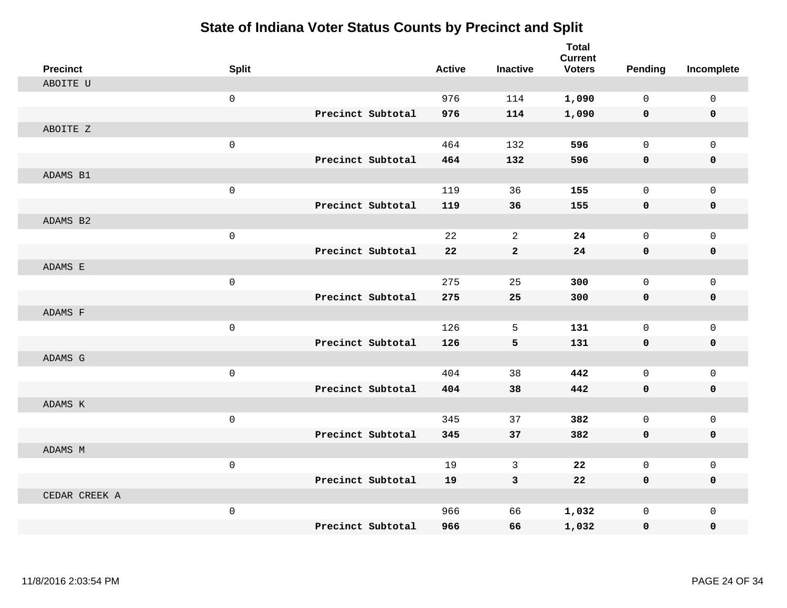| <b>Precinct</b> | <b>Split</b> |                   | <b>Active</b> | <b>Inactive</b> | <b>Total</b><br><b>Current</b><br><b>Voters</b> | <b>Pending</b> | Incomplete   |
|-----------------|--------------|-------------------|---------------|-----------------|-------------------------------------------------|----------------|--------------|
| ABOITE U        |              |                   |               |                 |                                                 |                |              |
|                 | $\mathsf 0$  |                   | 976           | 114             | 1,090                                           | 0              | $\mathbf 0$  |
|                 |              | Precinct Subtotal | 976           | 114             | 1,090                                           | $\mathbf 0$    | $\mathbf 0$  |
| ABOITE Z        |              |                   |               |                 |                                                 |                |              |
|                 | $\mathbf 0$  |                   | 464           | 132             | 596                                             | 0              | $\mathbf 0$  |
|                 |              | Precinct Subtotal | 464           | 132             | 596                                             | $\mathbf 0$    | $\mathbf 0$  |
| ADAMS B1        |              |                   |               |                 |                                                 |                |              |
|                 | $\mathsf 0$  |                   | 119           | 36              | 155                                             | 0              | $\mathbf 0$  |
|                 |              | Precinct Subtotal | 119           | 36              | 155                                             | 0              | $\mathbf 0$  |
| ADAMS B2        |              |                   |               |                 |                                                 |                |              |
|                 | $\mathsf 0$  |                   | 22            | $\overline{a}$  | 24                                              | 0              | $\mathbf 0$  |
|                 |              | Precinct Subtotal | 22            | $\bf{2}$        | 24                                              | 0              | $\mathbf 0$  |
| ADAMS E         |              |                   |               |                 |                                                 |                |              |
|                 | $\mathsf 0$  |                   | 275           | 25              | 300                                             | 0              | $\mathbf 0$  |
|                 |              | Precinct Subtotal | 275           | 25              | 300                                             | $\mathbf 0$    | $\mathbf 0$  |
| ADAMS F         |              |                   |               |                 |                                                 |                |              |
|                 | $\mathsf 0$  |                   | 126           | 5               | 131                                             | 0              | $\mathbf 0$  |
|                 |              | Precinct Subtotal | 126           | 5               | 131                                             | 0              | $\mathbf 0$  |
| ADAMS G         |              |                   |               |                 |                                                 |                |              |
|                 | $\mathsf 0$  |                   | 404           | 38              | 442                                             | 0              | $\mathbf 0$  |
|                 |              | Precinct Subtotal | 404           | 38              | 442                                             | 0              | $\mathbf 0$  |
| ADAMS K         |              |                   |               |                 |                                                 |                |              |
|                 | $\mathsf 0$  |                   | 345           | 37              | 382                                             | 0              | $\mathsf{O}$ |
|                 |              | Precinct Subtotal | 345           | 37              | 382                                             | $\mathbf 0$    | 0            |
| ADAMS M         |              |                   |               |                 |                                                 |                |              |
|                 | $\mathsf 0$  |                   | 19            | 3               | 22                                              | 0              | $\mathbf 0$  |
|                 |              | Precinct Subtotal | 19            | 3               | 22                                              | $\mathbf 0$    | 0            |
| CEDAR CREEK A   |              |                   |               |                 |                                                 |                |              |
|                 | $\mathsf 0$  |                   | 966           | 66              | 1,032                                           | 0              | $\mathbf 0$  |
|                 |              | Precinct Subtotal | 966           | 66              | 1,032                                           | 0              | 0            |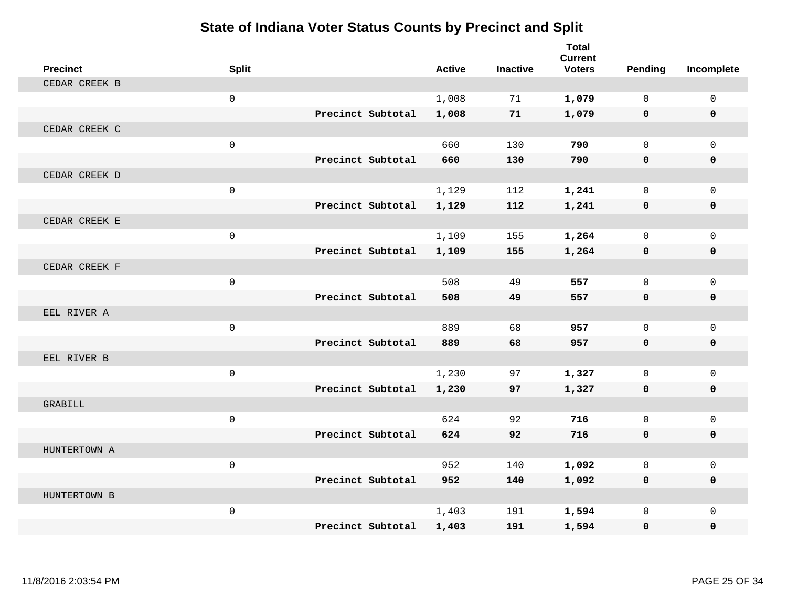| <b>Precinct</b> | <b>Split</b>        |                   |                   | <b>Active</b> | <b>Inactive</b> | <b>Total</b><br><b>Current</b><br><b>Voters</b> | Pending      | Incomplete  |
|-----------------|---------------------|-------------------|-------------------|---------------|-----------------|-------------------------------------------------|--------------|-------------|
| CEDAR CREEK B   |                     |                   |                   |               |                 |                                                 |              |             |
|                 | $\mathbf{0}$        |                   |                   | 1,008         | 71              | 1,079                                           | $\Omega$     | $\mathbf 0$ |
|                 |                     | Precinct Subtotal |                   | 1,008         | 71              | 1,079                                           | $\mathbf 0$  | $\mathbf 0$ |
| CEDAR CREEK C   |                     |                   |                   |               |                 |                                                 |              |             |
|                 | $\mathbf 0$         |                   |                   | 660           | 130             | 790                                             | $\mathbf{0}$ | $\mathbf 0$ |
|                 |                     |                   | Precinct Subtotal | 660           | 130             | 790                                             | $\mathbf{0}$ | 0           |
| CEDAR CREEK D   |                     |                   |                   |               |                 |                                                 |              |             |
|                 | $\mathbf{0}$        |                   |                   | 1,129         | 112             | 1,241                                           | $\mathbf 0$  | $\mathbf 0$ |
|                 |                     |                   | Precinct Subtotal | 1,129         | 112             | 1,241                                           | $\mathbf 0$  | 0           |
| CEDAR CREEK E   |                     |                   |                   |               |                 |                                                 |              |             |
|                 | $\mathbf 0$         |                   |                   | 1,109         | 155             | 1,264                                           | $\mathbf{0}$ | $\mathbf 0$ |
|                 |                     | Precinct Subtotal |                   | 1,109         | 155             | 1,264                                           | $\mathbf 0$  | 0           |
| CEDAR CREEK F   |                     |                   |                   |               |                 |                                                 |              |             |
|                 | $\mathbf{0}$        |                   |                   | 508           | 49              | 557                                             | $\Omega$     | $\mathbf 0$ |
|                 |                     | Precinct Subtotal |                   | 508           | 49              | 557                                             | $\mathbf 0$  | 0           |
| EEL RIVER A     |                     |                   |                   |               |                 |                                                 |              |             |
|                 | $\mathsf{O}\xspace$ |                   |                   | 889           | 68              | 957                                             | $\mathbf 0$  | $\mathbf 0$ |
|                 |                     | Precinct Subtotal |                   | 889           | 68              | 957                                             | $\mathbf{0}$ | 0           |
| EEL RIVER B     |                     |                   |                   |               |                 |                                                 |              |             |
|                 | $\mathsf{O}\xspace$ |                   |                   | 1,230         | 97              | 1,327                                           | $\mathbf{0}$ | $\mathbf 0$ |
|                 |                     | Precinct Subtotal |                   | 1,230         | 97              | 1,327                                           | $\mathbf 0$  | 0           |
| GRABILL         |                     |                   |                   |               |                 |                                                 |              |             |
|                 | $\mathbf 0$         |                   |                   | 624           | 92              | 716                                             | $\Omega$     | $\mathbf 0$ |
|                 |                     | Precinct Subtotal |                   | 624           | 92              | 716                                             | $\mathbf 0$  | 0           |
| HUNTERTOWN A    |                     |                   |                   |               |                 |                                                 |              |             |
|                 | $\mathbf{0}$        |                   |                   | 952           | 140             | 1,092                                           | $\Omega$     | $\mathbf 0$ |
|                 |                     | Precinct Subtotal |                   | 952           | 140             | 1,092                                           | 0            | 0           |
| HUNTERTOWN B    |                     |                   |                   |               |                 |                                                 |              |             |
|                 | $\mathsf{O}\xspace$ |                   |                   | 1,403         | 191             | 1,594                                           | $\mathbf{0}$ | $\mathbf 0$ |
|                 |                     | Precinct Subtotal |                   | 1,403         | 191             | 1,594                                           | 0            | $\Omega$    |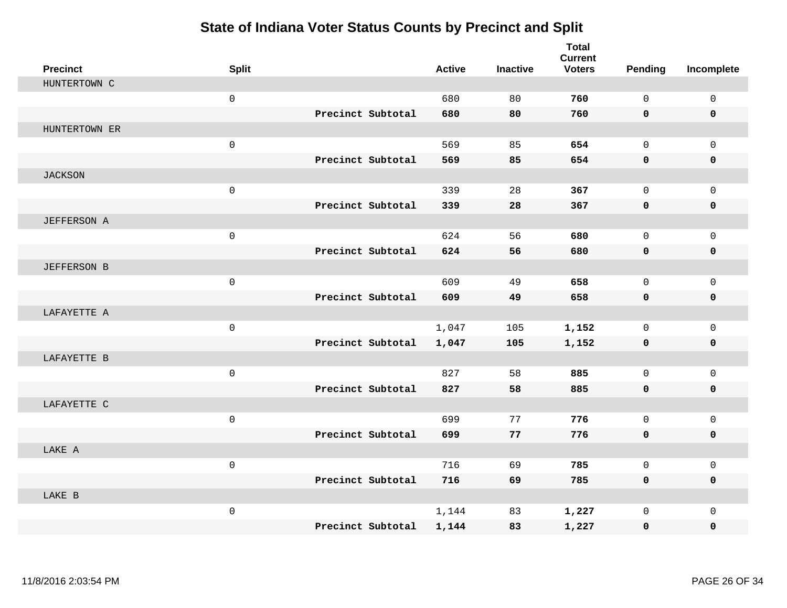| <b>Precinct</b>    | <b>Split</b> |                   | <b>Active</b> | <b>Inactive</b> | <b>Total</b><br><b>Current</b><br><b>Voters</b> | Pending      | Incomplete   |
|--------------------|--------------|-------------------|---------------|-----------------|-------------------------------------------------|--------------|--------------|
| HUNTERTOWN C       |              |                   |               |                 |                                                 |              |              |
|                    | $\mathsf{O}$ |                   | 680           | 80              | 760                                             | $\Omega$     | $\mathbf 0$  |
|                    |              | Precinct Subtotal | 680           | 80              | 760                                             | $\mathbf 0$  | $\mathbf 0$  |
| HUNTERTOWN ER      |              |                   |               |                 |                                                 |              |              |
|                    | $\mathsf{O}$ |                   | 569           | 85              | 654                                             | $\mathbf{0}$ | $\mathbf 0$  |
|                    |              | Precinct Subtotal | 569           | 85              | 654                                             | $\mathbf 0$  | 0            |
| <b>JACKSON</b>     |              |                   |               |                 |                                                 |              |              |
|                    | $\mathsf{O}$ |                   | 339           | 28              | 367                                             | $\Omega$     | $\mathbf 0$  |
|                    |              | Precinct Subtotal | 339           | 28              | 367                                             | 0            | $\mathbf 0$  |
| <b>JEFFERSON A</b> |              |                   |               |                 |                                                 |              |              |
|                    | $\mathsf{O}$ |                   | 624           | 56              | 680                                             | $\mathbf{0}$ | $\mathbf 0$  |
|                    |              | Precinct Subtotal | 624           | 56              | 680                                             | $\mathbf 0$  | 0            |
| <b>JEFFERSON B</b> |              |                   |               |                 |                                                 |              |              |
|                    | $\mathsf{O}$ |                   | 609           | 49              | 658                                             | $\mathbf{0}$ | $\mathbf 0$  |
|                    |              | Precinct Subtotal | 609           | 49              | 658                                             | $\mathbf 0$  | 0            |
| LAFAYETTE A        |              |                   |               |                 |                                                 |              |              |
|                    | $\mathsf 0$  |                   | 1,047         | 105             | 1,152                                           | $\mathbf 0$  | $\mathbf 0$  |
|                    |              | Precinct Subtotal | 1,047         | 105             | 1,152                                           | 0            | 0            |
| LAFAYETTE B        |              |                   |               |                 |                                                 |              |              |
|                    | $\mathbf 0$  |                   | 827           | 58              | 885                                             | $\mathbf 0$  | $\mathbf 0$  |
|                    |              | Precinct Subtotal | 827           | 58              | 885                                             | 0            | 0            |
| LAFAYETTE C        |              |                   |               |                 |                                                 |              |              |
|                    | $\mathsf 0$  |                   | 699           | 77              | 776                                             | $\mathbf 0$  | $\mathbf{0}$ |
|                    |              | Precinct Subtotal | 699           | 77              | 776                                             | 0            | 0            |
| LAKE A             |              |                   |               |                 |                                                 |              |              |
|                    | $\mathbf 0$  |                   | 716           | 69              | 785                                             | $\mathbf 0$  | $\mathbf 0$  |
|                    |              | Precinct Subtotal | 716           | 69              | 785                                             | 0            | 0            |
| LAKE B             |              |                   |               |                 |                                                 |              |              |
|                    | $\mathsf{O}$ |                   | 1,144         | 83              | 1,227                                           | $\mathbf 0$  | $\mathbf{0}$ |
|                    |              | Precinct Subtotal | 1,144         | 83              | 1,227                                           | 0            | 0            |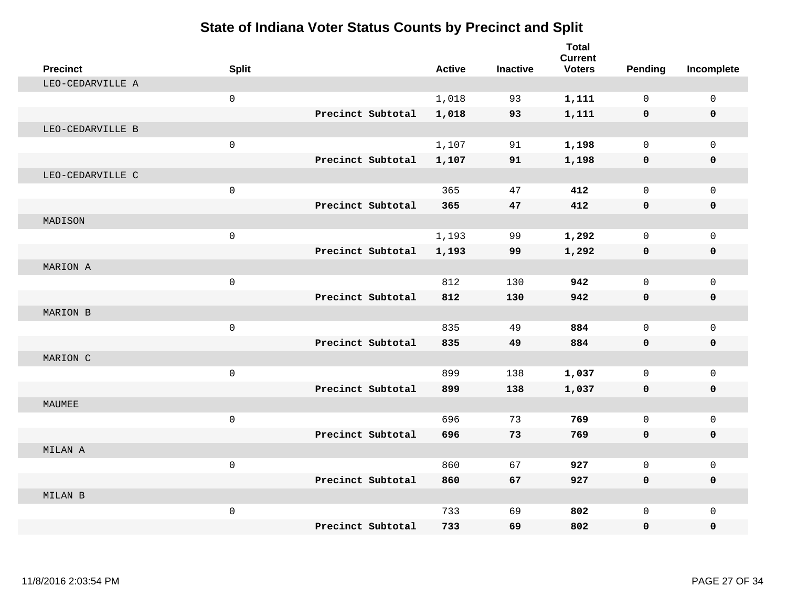| <b>Precinct</b>  | <b>Split</b>        |                   | <b>Active</b> | <b>Inactive</b> | <b>Total</b><br><b>Current</b><br><b>Voters</b> | Pending      | Incomplete   |
|------------------|---------------------|-------------------|---------------|-----------------|-------------------------------------------------|--------------|--------------|
| LEO-CEDARVILLE A |                     |                   |               |                 |                                                 |              |              |
|                  | $\mathsf{O}\xspace$ |                   | 1,018         | 93              | 1,111                                           | $\mathbf 0$  | $\mathbf 0$  |
|                  |                     | Precinct Subtotal | 1,018         | 93              | 1,111                                           | 0            | 0            |
| LEO-CEDARVILLE B |                     |                   |               |                 |                                                 |              |              |
|                  | $\mathsf 0$         |                   | 1,107         | 91              | 1,198                                           | $\mathbf 0$  | $\mathbf 0$  |
|                  |                     | Precinct Subtotal | 1,107         | 91              | 1,198                                           | 0            | 0            |
| LEO-CEDARVILLE C |                     |                   |               |                 |                                                 |              |              |
|                  | $\mathsf 0$         |                   | 365           | 47              | 412                                             | $\mathbf 0$  | $\mathbf 0$  |
|                  |                     | Precinct Subtotal | 365           | 47              | 412                                             | 0            | 0            |
| MADISON          |                     |                   |               |                 |                                                 |              |              |
|                  | $\mathbf 0$         |                   | 1,193         | 99              | 1,292                                           | $\mathbf 0$  | $\mathbf 0$  |
|                  |                     | Precinct Subtotal | 1,193         | 99              | 1,292                                           | 0            | 0            |
| MARION A         |                     |                   |               |                 |                                                 |              |              |
|                  | $\mathbf 0$         |                   | 812           | 130             | 942                                             | $\Omega$     | $\mathbf 0$  |
|                  |                     | Precinct Subtotal | 812           | 130             | 942                                             | 0            | $\mathbf 0$  |
| MARION B         |                     |                   |               |                 |                                                 |              |              |
|                  | $\mathsf{O}\xspace$ |                   | 835           | 49              | 884                                             | $\mathbf 0$  | $\mathbf{0}$ |
|                  |                     | Precinct Subtotal | 835           | 49              | 884                                             | 0            | 0            |
| MARION C         |                     |                   |               |                 |                                                 |              |              |
|                  | $\mathsf{O}\xspace$ |                   | 899           | 138             | 1,037                                           | $\mathbf 0$  | $\mathbf 0$  |
|                  |                     | Precinct Subtotal | 899           | 138             | 1,037                                           | 0            | 0            |
| MAUMEE           |                     |                   |               |                 |                                                 |              |              |
|                  | $\mathbf 0$         |                   | 696           | 73              | 769                                             | $\mathbf 0$  | $\mathbf 0$  |
|                  |                     | Precinct Subtotal | 696           | 73              | 769                                             | 0            | 0            |
| MILAN A          |                     |                   |               |                 |                                                 |              |              |
|                  | $\mathbf 0$         |                   | 860           | 67              | 927                                             | $\Omega$     | $\mathsf{O}$ |
|                  |                     | Precinct Subtotal | 860           | 67              | 927                                             | 0            | 0            |
| MILAN B          |                     |                   |               |                 |                                                 |              |              |
|                  | $\mathsf 0$         |                   | 733           | 69              | 802                                             | $\mathbf{0}$ | $\mathbf 0$  |
|                  |                     | Precinct Subtotal | 733           | 69              | 802                                             | 0            | $\mathbf 0$  |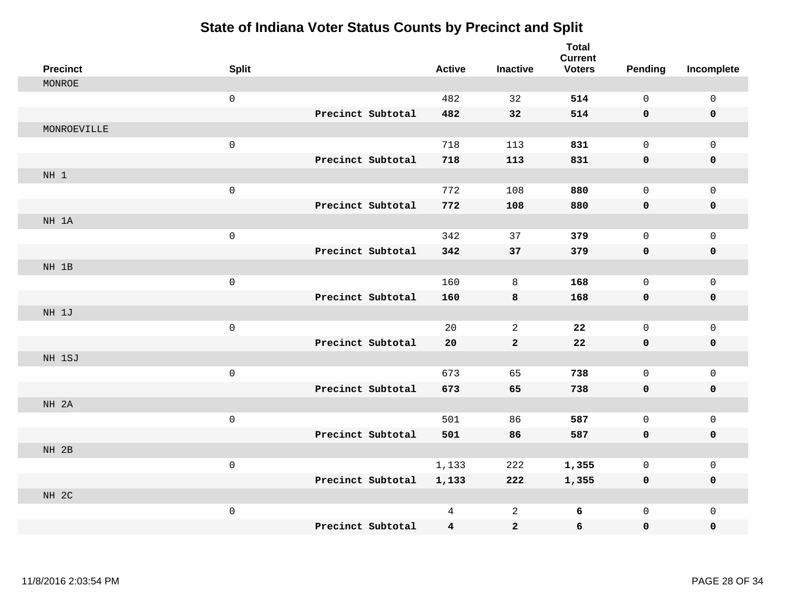| <b>Precinct</b> | <b>Split</b>        |                   | <b>Active</b>           | <b>Inactive</b> | <b>Total</b><br><b>Current</b><br><b>Voters</b> | <b>Pending</b> | Incomplete          |
|-----------------|---------------------|-------------------|-------------------------|-----------------|-------------------------------------------------|----------------|---------------------|
| MONROE          |                     |                   |                         |                 |                                                 |                |                     |
|                 | $\mathsf{O}\xspace$ |                   | 482                     | 32              | 514                                             | $\mathsf{O}$   | $\mathsf 0$         |
|                 |                     | Precinct Subtotal | 482                     | 32              | 514                                             | $\mathbf 0$    | $\mathbf 0$         |
| MONROEVILLE     |                     |                   |                         |                 |                                                 |                |                     |
|                 | $\mathsf{O}\xspace$ |                   | 718                     | 113             | 831                                             | $\mathsf 0$    | $\mathbf 0$         |
|                 |                     | Precinct Subtotal | 718                     | 113             | 831                                             | $\mathbf 0$    | $\pmb{0}$           |
| NH <sub>1</sub> |                     |                   |                         |                 |                                                 |                |                     |
|                 | $\mathsf{O}\xspace$ |                   | 772                     | 108             | 880                                             | $\mathsf{O}$   | $\mathsf 0$         |
|                 |                     | Precinct Subtotal | 772                     | 108             | 880                                             | 0              | $\pmb{0}$           |
| NH 1A           |                     |                   |                         |                 |                                                 |                |                     |
|                 | $\mathsf{O}\xspace$ |                   | 342                     | 37              | 379                                             | $\mathsf{O}$   | $\mathbf 0$         |
|                 |                     | Precinct Subtotal | 342                     | 37              | 379                                             | $\mathbf 0$    | 0                   |
| NH 1B           |                     |                   |                         |                 |                                                 |                |                     |
|                 | $\mathsf{O}\xspace$ |                   | 160                     | 8               | 168                                             | $\mathsf{O}$   | $\mathsf 0$         |
|                 |                     | Precinct Subtotal | 160                     | 8               | 168                                             | 0              | $\mathbf 0$         |
| NH 1J           |                     |                   |                         |                 |                                                 |                |                     |
|                 | $\mathsf{O}\xspace$ |                   | 20                      | 2               | 22                                              | $\mathsf{O}$   | $\mathsf{O}\xspace$ |
|                 |                     | Precinct Subtotal | 20                      | $\mathbf{2}$    | ${\bf 22}$                                      | $\mathbf 0$    | $\pmb{0}$           |
| NH 1SJ          |                     |                   |                         |                 |                                                 |                |                     |
|                 | $\mathsf{O}\xspace$ |                   | 673                     | 65              | 738                                             | $\mathbf 0$    | $\mathbf{0}$        |
|                 |                     | Precinct Subtotal | 673                     | 65              | 738                                             | $\mathbf 0$    | $\mathbf 0$         |
| NH 2A           |                     |                   |                         |                 |                                                 |                |                     |
|                 | $\mathsf{O}\xspace$ |                   | 501                     | 86              | 587                                             | $\mathbf 0$    | $\mathsf{O}\xspace$ |
|                 |                     | Precinct Subtotal | 501                     | 86              | 587                                             | $\mathbf 0$    | $\mathbf 0$         |
| NH 2B           |                     |                   |                         |                 |                                                 |                |                     |
|                 | $\mathsf{O}\xspace$ |                   | 1,133                   | 222             | 1,355                                           | 0              | $\mathsf{O}\xspace$ |
|                 |                     | Precinct Subtotal | 1,133                   | 222             | 1,355                                           | $\mathbf 0$    | $\mathbf 0$         |
| NH 2C           |                     |                   |                         |                 |                                                 |                |                     |
|                 | $\mathsf{O}\xspace$ |                   | 4                       | $\overline{a}$  | 6                                               | $\mathsf{O}$   | $\mathbf 0$         |
|                 |                     | Precinct Subtotal | $\overline{\mathbf{4}}$ | $\mathbf{2}$    | $\epsilon$                                      | 0              | 0                   |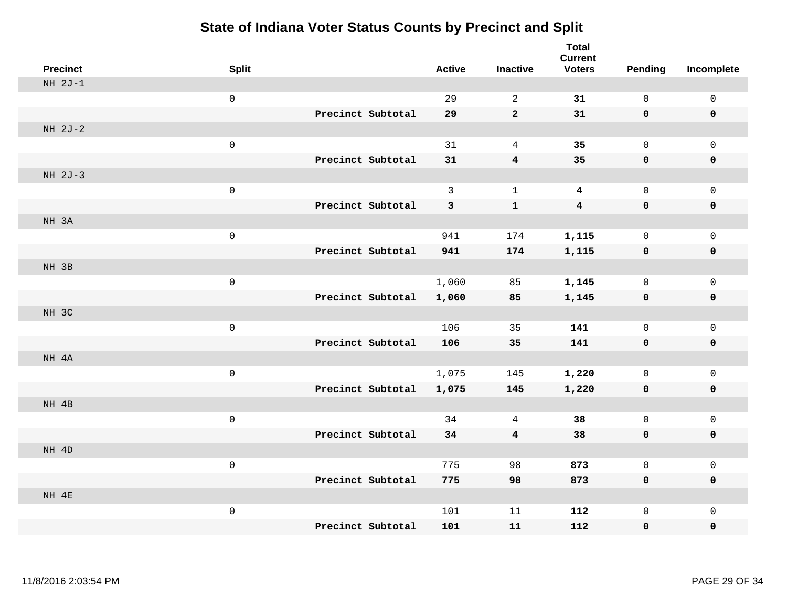| <b>Precinct</b> | <b>Split</b> |                   | <b>Active</b> | <b>Inactive</b> | <b>Total</b><br><b>Current</b><br><b>Voters</b> | Pending      | Incomplete  |
|-----------------|--------------|-------------------|---------------|-----------------|-------------------------------------------------|--------------|-------------|
| $NH 2J-1$       |              |                   |               |                 |                                                 |              |             |
|                 | $\mathsf 0$  |                   | 29            | $\overline{a}$  | 31                                              | $\mathsf{O}$ | $\mathsf 0$ |
|                 |              | Precinct Subtotal | 29            | $\overline{a}$  | 31                                              | $\mathbf 0$  | $\mathbf 0$ |
| NH 2J-2         |              |                   |               |                 |                                                 |              |             |
|                 | $\mathsf 0$  |                   | 31            | $\overline{4}$  | 35                                              | $\mathbf 0$  | $\mathbf 0$ |
|                 |              | Precinct Subtotal | 31            | $\bf{4}$        | 35                                              | $\mathbf 0$  | $\mathbf 0$ |
| $NH 2J-3$       |              |                   |               |                 |                                                 |              |             |
|                 | $\mathsf 0$  |                   | 3             | $\mathbf{1}$    | $\overline{\mathbf{4}}$                         | $\mathbf 0$  | $\mathbf 0$ |
|                 |              | Precinct Subtotal | 3             | $\mathbf{1}$    | $\overline{\mathbf{4}}$                         | $\mathbf 0$  | $\mathbf 0$ |
| NH 3A           |              |                   |               |                 |                                                 |              |             |
|                 | $\mathsf 0$  |                   | 941           | 174             | 1,115                                           | $\mathsf{O}$ | $\mathbf 0$ |
|                 |              | Precinct Subtotal | 941           | 174             | 1,115                                           | $\mathbf 0$  | $\mathbf 0$ |
| NH 3B           |              |                   |               |                 |                                                 |              |             |
|                 | $\mathsf 0$  |                   | 1,060         | 85              | 1,145                                           | $\mathbf 0$  | $\mathsf 0$ |
|                 |              | Precinct Subtotal | 1,060         | 85              | 1,145                                           | 0            | $\mathbf 0$ |
| NH 3C           |              |                   |               |                 |                                                 |              |             |
|                 | $\mathsf 0$  |                   | 106           | 35              | 141                                             | $\mathsf{O}$ | $\mathbf 0$ |
|                 |              | Precinct Subtotal | 106           | 35              | 141                                             | $\mathbf 0$  | $\mathbf 0$ |
| NH 4A           |              |                   |               |                 |                                                 |              |             |
|                 | $\mathsf 0$  |                   | 1,075         | 145             | 1,220                                           | $\mathsf{O}$ | $\mathbf 0$ |
|                 |              | Precinct Subtotal | 1,075         | 145             | 1,220                                           | 0            | 0           |
| NH 4B           |              |                   |               |                 |                                                 |              |             |
|                 | $\mathsf 0$  |                   | 34            | 4               | 38                                              | $\mathbf 0$  | $\mathsf 0$ |
|                 |              | Precinct Subtotal | 34            | 4               | 38                                              | $\mathbf 0$  | $\pmb{0}$   |
| NH 4D           |              |                   |               |                 |                                                 |              |             |
|                 | $\mathsf 0$  |                   | 775           | 98              | 873                                             | $\mathbf 0$  | $\mathbf 0$ |
|                 |              | Precinct Subtotal | 775           | 98              | 873                                             | 0            | $\mathbf 0$ |
| NH 4E           |              |                   |               |                 |                                                 |              |             |
|                 | $\mathsf 0$  | Precinct Subtotal | 101           | 11              | 112                                             | $\mathsf{O}$ | $\mathbf 0$ |
|                 |              |                   | 101           | 11              | 112                                             | 0            | 0           |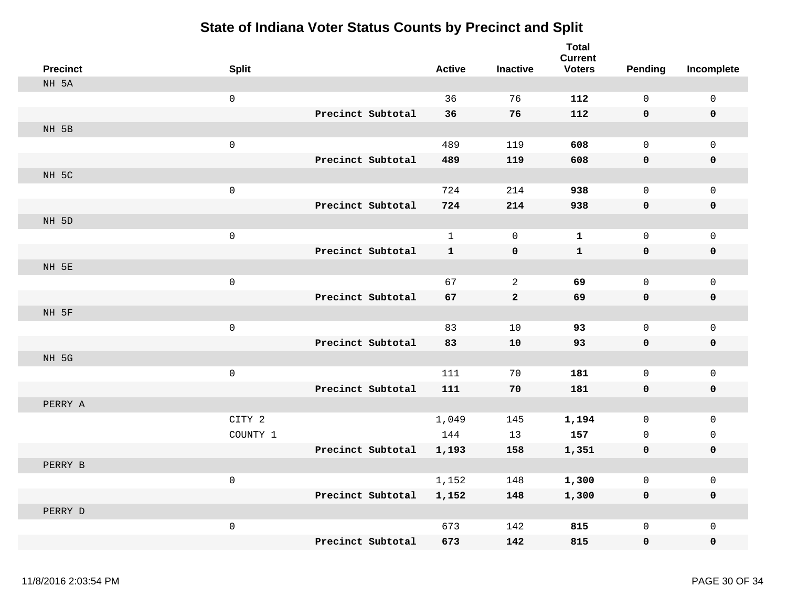| <b>Precinct</b> | <b>Split</b> |                   | <b>Active</b> | <b>Inactive</b> | <b>Total</b><br><b>Current</b><br><b>Voters</b> | <b>Pending</b>      | Incomplete          |
|-----------------|--------------|-------------------|---------------|-----------------|-------------------------------------------------|---------------------|---------------------|
| NH 5A           |              |                   |               |                 |                                                 |                     |                     |
|                 | $\mathsf{O}$ |                   | 36            | 76              | 112                                             | $\mathbf 0$         | 0                   |
|                 |              | Precinct Subtotal | 36            | 76              | 112                                             | 0                   | $\mathbf 0$         |
| NH 5B           |              |                   |               |                 |                                                 |                     |                     |
|                 | $\mathbf 0$  |                   | 489           | 119             | 608                                             | $\mathsf{O}$        | $\mathsf{O}$        |
|                 |              | Precinct Subtotal | 489           | 119             | 608                                             | 0                   | 0                   |
| NH 5C           |              |                   |               |                 |                                                 |                     |                     |
|                 | $\mathsf 0$  |                   | 724           | 214             | 938                                             | $\mathbf 0$         | $\mathsf{O}$        |
|                 |              | Precinct Subtotal | 724           | 214             | 938                                             | 0                   | 0                   |
| NH 5D           |              |                   |               |                 |                                                 |                     |                     |
|                 | $\mathbf 0$  |                   | $\mathbf{1}$  | $\mathsf 0$     | $\mathbf{1}$                                    | $\mathbf 0$         | $\mathsf{O}\xspace$ |
|                 |              | Precinct Subtotal | $\mathbf{1}$  | $\pmb{0}$       | ${\bf 1}$                                       | 0                   | $\pmb{0}$           |
| NH 5E           |              |                   |               |                 |                                                 |                     |                     |
|                 | $\mathsf 0$  |                   | 67            | $\mathbf{2}$    | 69                                              | $\mathsf{O}\xspace$ | $\mathsf{O}$        |
|                 |              | Precinct Subtotal | 67            | $\mathbf{2}$    | 69                                              | 0                   | 0                   |
| NH 5F           |              |                   |               |                 |                                                 |                     |                     |
|                 | $\mathsf 0$  |                   | 83            | 10              | 93                                              | $\mathbf 0$         | $\mathsf{O}$        |
|                 |              | Precinct Subtotal | 83            | 10              | 93                                              | 0                   | 0                   |
| NH 5G           |              |                   |               |                 |                                                 |                     |                     |
|                 | $\mathsf{O}$ |                   | 111           | 70              | 181                                             | $\mathsf{O}\xspace$ | $\mathsf{O}\xspace$ |
|                 |              | Precinct Subtotal | 111           | 70              | 181                                             | 0                   | 0                   |
| PERRY A         |              |                   |               |                 |                                                 |                     |                     |
|                 | CITY 2       |                   | 1,049         | 145             | 1,194                                           | $\mathbf 0$         | $\mathsf{O}$        |
|                 | COUNTY 1     |                   | 144           | 13              | 157                                             | $\mathbf 0$         | $\mathsf{O}$        |
|                 |              | Precinct Subtotal | 1,193         | 158             | 1,351                                           | 0                   | 0                   |
| PERRY B         |              |                   |               |                 |                                                 |                     |                     |
|                 | $\mathsf 0$  |                   | 1,152         | 148             | 1,300                                           | $\mathbf 0$         | 0                   |
|                 |              | Precinct Subtotal | 1,152         | 148             | 1,300                                           | $\mathbf 0$         | 0                   |
| PERRY D         |              |                   |               |                 |                                                 |                     |                     |
|                 | $\mathsf 0$  |                   | 673           | 142             | 815                                             | $\mathbf 0$         | $\mathsf{O}\xspace$ |
|                 |              | Precinct Subtotal | 673           | 142             | 815                                             | $\mathbf 0$         | 0                   |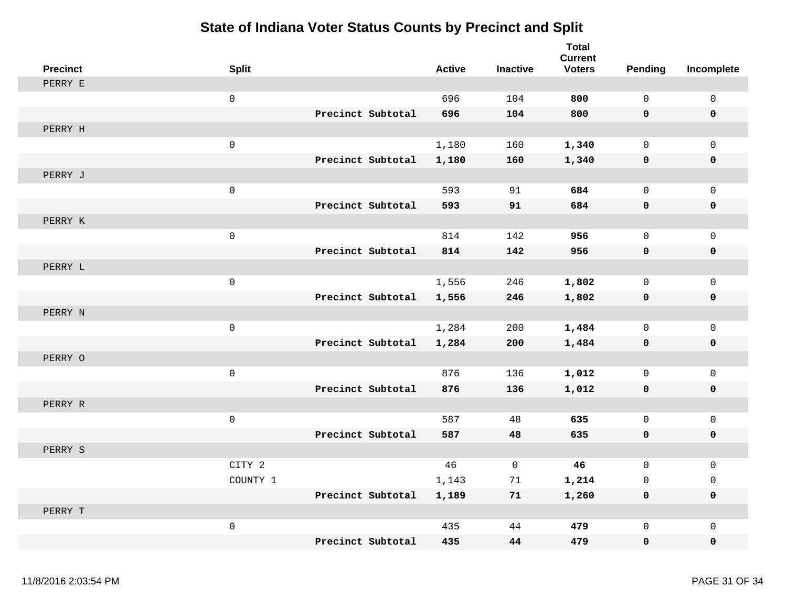| <b>Precinct</b> | <b>Split</b>        |                   | <b>Active</b> | <b>Inactive</b> | <b>Total</b><br><b>Current</b><br><b>Voters</b> | <b>Pending</b>      | Incomplete          |
|-----------------|---------------------|-------------------|---------------|-----------------|-------------------------------------------------|---------------------|---------------------|
| PERRY E         |                     |                   |               |                 |                                                 |                     |                     |
|                 | $\mathbf 0$         |                   | 696           | 104             | 800                                             | $\mathbf 0$         | $\mathbf 0$         |
|                 |                     | Precinct Subtotal | 696           | 104             | 800                                             | $\mathbf 0$         | $\mathbf 0$         |
| PERRY H         |                     |                   |               |                 |                                                 |                     |                     |
|                 | $\mathbf 0$         |                   | 1,180         | 160             | 1,340                                           | $\mathsf{O}$        | $\mathbf 0$         |
|                 |                     | Precinct Subtotal | 1,180         | 160             | 1,340                                           | 0                   | 0                   |
| PERRY J         |                     |                   |               |                 |                                                 |                     |                     |
|                 | $\mathsf{O}\xspace$ |                   | 593           | 91              | 684                                             | $\mathbf 0$         | $\mathsf 0$         |
|                 |                     | Precinct Subtotal | 593           | 91              | 684                                             | $\mathbf 0$         | $\mathbf 0$         |
| PERRY K         |                     |                   |               |                 |                                                 |                     |                     |
|                 | $\mathsf{O}\xspace$ |                   | 814           | 142             | 956                                             | $\mathsf{O}\xspace$ | $\mathsf{O}\xspace$ |
|                 |                     | Precinct Subtotal | 814           | 142             | 956                                             | 0                   | $\pmb{0}$           |
| PERRY L         |                     |                   |               |                 |                                                 |                     |                     |
|                 | $\mathbf 0$         |                   | 1,556         | 246             | 1,802                                           | $\mathbf 0$         | $\mathbf{0}$        |
|                 |                     | Precinct Subtotal | 1,556         | 246             | 1,802                                           | $\pmb{0}$           | 0                   |
| PERRY N         |                     |                   |               |                 |                                                 |                     |                     |
|                 | $\mathbf 0$         |                   | 1,284         | 200             | 1,484                                           | 0                   | $\mathbf 0$         |
|                 |                     | Precinct Subtotal | 1,284         | 200             | 1,484                                           | 0                   | 0                   |
| PERRY O         |                     |                   |               |                 |                                                 |                     |                     |
|                 | $\mathsf 0$         |                   | 876           | 136             | 1,012                                           | $\mathsf{O}$        | $\mathsf{O}\xspace$ |
|                 |                     | Precinct Subtotal | 876           | 136             | 1,012                                           | 0                   | 0                   |
| PERRY R         |                     |                   |               |                 |                                                 |                     |                     |
|                 | $\mathbf 0$         |                   | 587           | 48              | 635                                             | $\mathbf 0$         | $\mathsf 0$         |
|                 |                     | Precinct Subtotal | 587           | 48              | 635                                             | $\mathbf 0$         | $\mathbf 0$         |
| PERRY S         |                     |                   |               |                 |                                                 |                     |                     |
|                 | CITY 2              |                   | 46            | $\mathbf 0$     | 46                                              | $\mathbf 0$         | $\mathbf 0$         |
|                 | COUNTY 1            |                   | 1,143         | 71              | 1,214                                           | 0                   | 0                   |
|                 |                     | Precinct Subtotal | 1,189         | 71              | 1,260                                           | $\mathbf 0$         | $\mathbf 0$         |
| PERRY T         |                     |                   |               |                 |                                                 |                     |                     |
|                 | $\mbox{O}$          |                   | 435           | 44              | 479                                             | $\mathbf 0$         | $\mathbf 0$         |
|                 |                     | Precinct Subtotal | 435           | 44              | 479                                             | $\mathbf 0$         | 0                   |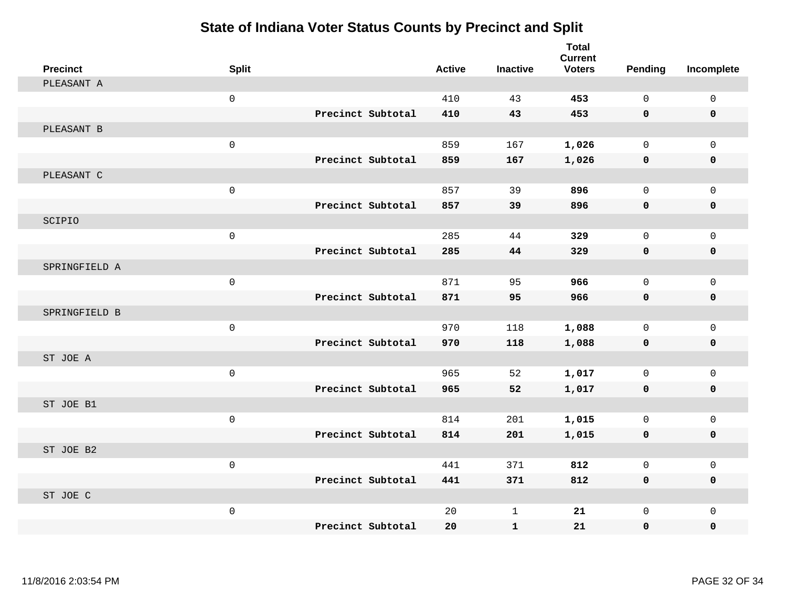| <b>Precinct</b> | <b>Split</b>        |                   | <b>Active</b> | <b>Inactive</b> | <b>Total</b><br><b>Current</b><br><b>Voters</b> | Pending      | Incomplete   |
|-----------------|---------------------|-------------------|---------------|-----------------|-------------------------------------------------|--------------|--------------|
| PLEASANT A      |                     |                   |               |                 |                                                 |              |              |
|                 | $\mathsf 0$         |                   | 410           | 43              | 453                                             | $\mathbf 0$  | $\mathbf 0$  |
|                 |                     | Precinct Subtotal | 410           | 43              | 453                                             | $\mathbf 0$  | $\mathbf 0$  |
| PLEASANT B      |                     |                   |               |                 |                                                 |              |              |
|                 | $\mathsf{O}\xspace$ |                   | 859           | 167             | 1,026                                           | $\mathbf 0$  | $\mathbf{0}$ |
|                 |                     | Precinct Subtotal | 859           | 167             | 1,026                                           | 0            | 0            |
| PLEASANT C      |                     |                   |               |                 |                                                 |              |              |
|                 | $\mathsf 0$         |                   | 857           | 39              | 896                                             | $\mathbf 0$  | $\mathbf 0$  |
|                 |                     | Precinct Subtotal | 857           | 39              | 896                                             | $\mathbf 0$  | $\mathbf 0$  |
| SCIPIO          |                     |                   |               |                 |                                                 |              |              |
|                 | $\mathbf 0$         |                   | 285           | 44              | 329                                             | $\mathbf 0$  | $\mathbf 0$  |
|                 |                     | Precinct Subtotal | 285           | 44              | 329                                             | $\mathbf 0$  | $\mathbf 0$  |
| SPRINGFIELD A   |                     |                   |               |                 |                                                 |              |              |
|                 | $\mathbf{0}$        |                   | 871           | 95              | 966                                             | $\Omega$     | $\Omega$     |
|                 |                     | Precinct Subtotal | 871           | 95              | 966                                             | $\mathbf 0$  | 0            |
| SPRINGFIELD B   |                     |                   |               |                 |                                                 |              |              |
|                 | $\mathsf{O}\xspace$ |                   | 970           | 118             | 1,088                                           | $\mathbf 0$  | $\mathbf{0}$ |
|                 |                     | Precinct Subtotal | 970           | 118             | 1,088                                           | 0            | 0            |
| ST JOE A        |                     |                   |               |                 |                                                 |              |              |
|                 | $\mathsf 0$         |                   | 965           | 52              | 1,017                                           | $\mathbf{0}$ | $\mathbf 0$  |
|                 |                     | Precinct Subtotal | 965           | 52              | 1,017                                           | 0            | $\mathbf 0$  |
| ST JOE B1       |                     |                   |               |                 |                                                 |              |              |
|                 | $\mathbf 0$         |                   | 814           | 201             | 1,015                                           | $\mathbf 0$  | $\mathbf 0$  |
|                 |                     | Precinct Subtotal | 814           | 201             | 1,015                                           | $\mathbf 0$  | 0            |
| ST JOE B2       |                     |                   |               |                 |                                                 |              |              |
|                 | $\mathbf 0$         |                   | 441           | 371             | 812                                             | 0            | $\mathsf 0$  |
|                 |                     | Precinct Subtotal | 441           | 371             | 812                                             | $\mathbf 0$  | 0            |
| ST JOE C        |                     |                   |               |                 |                                                 |              |              |
|                 | $\mathsf 0$         |                   | 20            | 1               | 21                                              | $\mathbf{0}$ | $\mathbf 0$  |
|                 |                     | Precinct Subtotal | 20            | ${\bf 1}$       | 21                                              | 0            | 0            |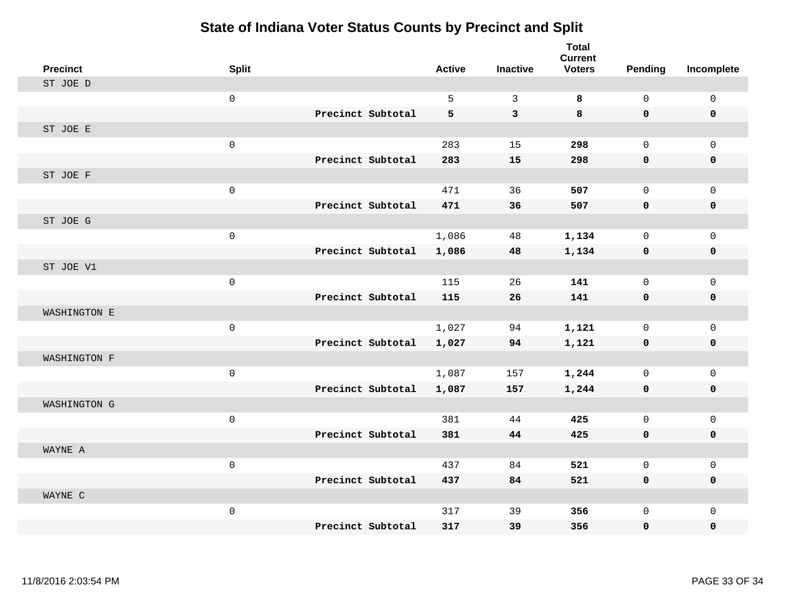| <b>Precinct</b> | <b>Split</b>        |                   | <b>Active</b> | <b>Inactive</b>         | <b>Total</b><br><b>Current</b><br><b>Voters</b> | <b>Pending</b> | Incomplete  |
|-----------------|---------------------|-------------------|---------------|-------------------------|-------------------------------------------------|----------------|-------------|
| ST JOE D        |                     |                   |               |                         |                                                 |                |             |
|                 | $\mathsf 0$         |                   | 5             | $\mathbf{3}$            | 8                                               | $\mathsf{O}$   | $\mathsf 0$ |
|                 |                     | Precinct Subtotal | 5             | $\overline{\mathbf{3}}$ | 8                                               | $\mathbf 0$    | $\mathbf 0$ |
| ST JOE E        |                     |                   |               |                         |                                                 |                |             |
|                 | $\mathbf 0$         |                   | 283           | 15                      | 298                                             | $\mathbf{0}$   | $\mathbf 0$ |
|                 |                     | Precinct Subtotal | 283           | 15                      | 298                                             | $\mathbf 0$    | 0           |
| ST JOE F        |                     |                   |               |                         |                                                 |                |             |
|                 | $\mathsf 0$         |                   | 471           | 36                      | 507                                             | $\mathbf 0$    | $\mathbf 0$ |
|                 |                     | Precinct Subtotal | 471           | 36                      | 507                                             | $\mathbf 0$    | 0           |
| ST JOE G        |                     |                   |               |                         |                                                 |                |             |
|                 | $\mathbf 0$         |                   | 1,086         | 48                      | 1,134                                           | 0              | $\mathbf 0$ |
|                 |                     | Precinct Subtotal | 1,086         | 48                      | 1,134                                           | 0              | 0           |
| ST JOE V1       |                     |                   |               |                         |                                                 |                |             |
|                 | $\mathbf 0$         |                   | 115           | 26                      | 141                                             | $\mathbf 0$    | $\mathbf 0$ |
|                 |                     | Precinct Subtotal | 115           | 26                      | 141                                             | $\mathbf 0$    | $\mathbf 0$ |
| WASHINGTON E    |                     |                   |               |                         |                                                 |                |             |
|                 | $\mathsf{O}\xspace$ |                   | 1,027         | 94                      | 1,121                                           | 0              | $\mathbf 0$ |
|                 |                     | Precinct Subtotal | 1,027         | 94                      | 1,121                                           | 0              | 0           |
| WASHINGTON F    |                     |                   |               |                         |                                                 |                |             |
|                 | $\mathsf{O}\xspace$ |                   | 1,087         | 157                     | 1,244                                           | $\mathbf 0$    | $\mathbf 0$ |
|                 |                     | Precinct Subtotal | 1,087         | 157                     | 1,244                                           | 0              | $\mathbf 0$ |
| WASHINGTON G    |                     |                   |               |                         |                                                 |                |             |
|                 | $\mathsf{O}\xspace$ |                   | 381           | 44                      | 425                                             | $\mathsf{O}$   | $\mathbf 0$ |
|                 |                     | Precinct Subtotal | 381           | 44                      | 425                                             | $\mathbf 0$    | 0           |
| WAYNE A         |                     |                   |               |                         |                                                 |                |             |
|                 | $\mathsf{O}\xspace$ |                   | 437           | 84                      | 521                                             | $\mathbf 0$    | $\mathbf 0$ |
|                 |                     | Precinct Subtotal | 437           | 84                      | 521                                             | 0              | 0           |
| WAYNE C         |                     |                   |               |                         |                                                 |                |             |
|                 | $\mathsf{O}\xspace$ |                   | 317           | 39                      | 356                                             | $\mathsf{O}$   | $\mathbf 0$ |
|                 |                     | Precinct Subtotal | 317           | 39                      | 356                                             | $\mathbf 0$    | 0           |